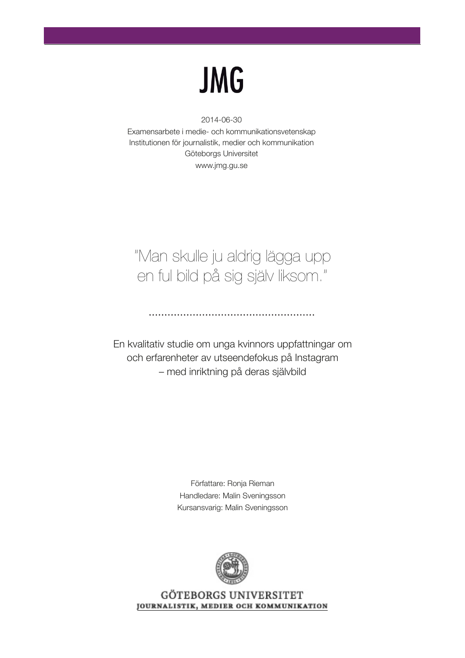# **JMG**

#### 2014-06-30

Examensarbete i medie- och kommunikationsvetenskap Institutionen för journalistik, medier och kommunikation Göteborgs Universitet www.jmg.gu.se

# "Man skulle ju aldrig lägga upp en ful bild på sig själv liksom."

En kvalitativ studie om unga kvinnors uppfattningar om och erfarenheter av utseendefokus på Instagram – med inriktning på deras självbild

Författare: Ronja Rieman Handledare: Malin Sveningsson Kursansvarig: Malin Sveningsson



GÖTEBORGS UNIVERSITET JOURNALISTIK, MEDIER OCH KOMMUNIKATION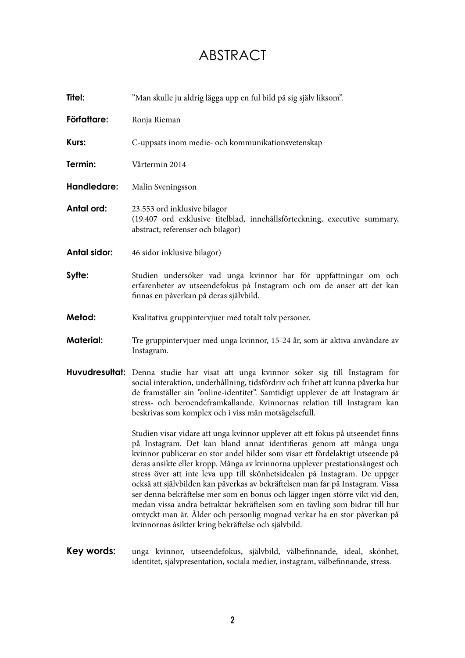# ABSTRACT

| <b>Titel:</b> | "Man skulle ju aldrig lägga upp en ful bild på sig själv liksom".                                                                                                                                                                                                                                                                                                                                                                                                                                                                                                                                                                                                                                                                   |
|---------------|-------------------------------------------------------------------------------------------------------------------------------------------------------------------------------------------------------------------------------------------------------------------------------------------------------------------------------------------------------------------------------------------------------------------------------------------------------------------------------------------------------------------------------------------------------------------------------------------------------------------------------------------------------------------------------------------------------------------------------------|
| Författare:   | Ronja Rieman                                                                                                                                                                                                                                                                                                                                                                                                                                                                                                                                                                                                                                                                                                                        |
| Kurs:         | C-uppsats inom medie- och kommunikationsvetenskap                                                                                                                                                                                                                                                                                                                                                                                                                                                                                                                                                                                                                                                                                   |
| Termin:       | Vårtermin 2014                                                                                                                                                                                                                                                                                                                                                                                                                                                                                                                                                                                                                                                                                                                      |
| Handledare:   | Malin Sveningsson                                                                                                                                                                                                                                                                                                                                                                                                                                                                                                                                                                                                                                                                                                                   |
| Antal ord:    | 23.553 ord inklusive bilagor<br>(19.407 ord exklusive titelblad, innehållsförteckning, executive summary,<br>abstract, referenser och bilagor)                                                                                                                                                                                                                                                                                                                                                                                                                                                                                                                                                                                      |
| Antal sidor:  | 46 sidor inklusive bilagor)                                                                                                                                                                                                                                                                                                                                                                                                                                                                                                                                                                                                                                                                                                         |
| Syfte:        | Studien undersöker vad unga kvinnor har för uppfattningar om och<br>erfarenheter av utseendefokus på Instagram och om de anser att det kan<br>finnas en påverkan på deras självbild.                                                                                                                                                                                                                                                                                                                                                                                                                                                                                                                                                |
| Metod:        | Kvalitativa gruppintervjuer med totalt tolv personer.                                                                                                                                                                                                                                                                                                                                                                                                                                                                                                                                                                                                                                                                               |
| Material:     | Tre gruppintervjuer med unga kvinnor, 15-24 år, som är aktiva användare av<br>Instagram.                                                                                                                                                                                                                                                                                                                                                                                                                                                                                                                                                                                                                                            |
|               | Huvudresultat: Denna studie har visat att unga kvinnor söker sig till Instagram för<br>social interaktion, underhållning, tidsfördriv och frihet att kunna påverka hur<br>de framställer sin "online-identitet". Samtidigt upplever de att Instagram är<br>stress- och beroendeframkallande. Kvinnornas relation till Instagram kan<br>beskrivas som komplex och i viss mån motsägelsefull.                                                                                                                                                                                                                                                                                                                                         |
|               | Studien visar vidare att unga kvinnor upplever att ett fokus på utseendet finns<br>på Instagram. Det kan bland annat identifieras genom att många unga<br>kvinnor publicerar en stor andel bilder som visar ett fördelaktigt utseende på<br>deras ansikte eller kropp. Många av kvinnorna upplever prestationsångest och<br>stress över att inte leva upp till skönhetsidealen på Instagram. De uppger<br>också att självbilden kan påverkas av bekräftelsen man får på Instagram. Vissa<br>ser denna bekräftelse mer som en bonus och lägger ingen större vikt vid den,<br>medan vissa andra betraktar bekräftelsen som en tävling som bidrar till hur<br>omtyckt man är. Ålder och personlig mognad verkar ha en stor påverkan på |

Key words: unga kvinnor, utseendefokus, självbild, välbefinnande, ideal, skönhet, identitet, självpresentation, sociala medier, instagram, välbefinnande, stress.

kvinnornas åsikter kring bekräftelse och självbild.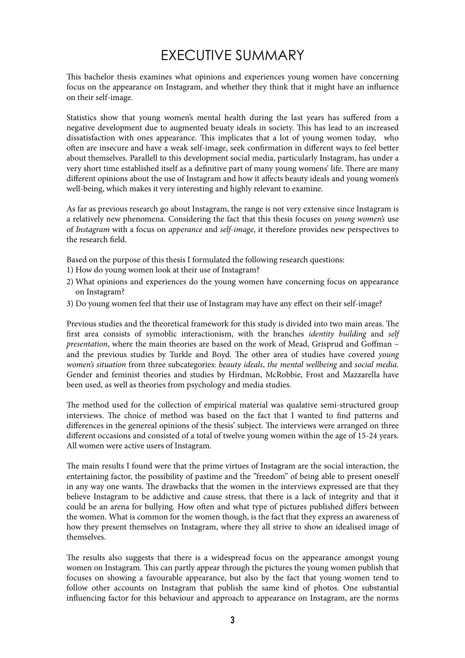# EXECUTIVE SUMMARY

This bachelor thesis examines what opinions and experiences young women have concerning focus on the appearance on Instagram, and whether they think that it might have an influence on their self-image.

Statistics show that young women's mental health during the last years has suffered from a negative development due to augmented beuaty ideals in society. This has lead to an increased dissatisfaction with ones appearance. This implicates that a lot of young women today, who often are insecure and have a weak self-image, seek confirmation in different ways to feel better about themselves. Parallell to this development social media, particularly Instagram, has under a very short time established itself as a definitive part of many young womens' life. There are many different opinions about the use of Instagram and how it affects beauty ideals and young women's well-being, which makes it very interesting and highly relevant to examine.

As far as previous research go about Instagram, the range is not very extensive since Instagram is a relatively new phenomena. Considering the fact that this thesis focuses on *young women's* use of Instagram with a focus on apperance and self-image, it therefore provides new perspectives to the research field.

Based on the purpose of this thesis I formulated the following research questions:

- 1) How do young women look at their use of Instagram?
- 2) What opinions and experiences do the young women have concerning focus on appearance on Instagram?
- 3) Do young women feel that their use of Instagram may have any effect on their self-image?

Previous studies and the theoretical framework for this study is divided into two main areas. The first area consists of symoblic interactionism, with the branches *identity building* and self presentation, where the main theories are based on the work of Mead, Grisprud and Goffman – and the previous studies by Turkle and Boyd. The other area of studies have covered young women's situation from three subcategories: beauty ideals, the mental wellbeing and social media. Gender and feminist theories and studies by Hirdman, McRobbie, Frost and Mazzarella have been used, as well as theories from psychology and media studies.

The method used for the collection of empirical material was qualative semi-structured group interviews. The choice of method was based on the fact that I wanted to find patterns and differences in the genereal opinions of the thesis' subject. The interviews were arranged on three different occasions and consisted of a total of twelve young women within the age of 15-24 years. All women were active users of Instagram.

The main results I found were that the prime virtues of Instagram are the social interaction, the entertaining factor, the possibility of pastime and the "freedom" of being able to present oneself in any way one wants. The drawbacks that the women in the interviews expressed are that they believe Instagram to be addictive and cause stress, that there is a lack of integrity and that it could be an arena for bullying. How often and what type of pictures published differs between the women. What is common for the women though, is the fact that they express an awareness of how they present themselves on Instagram, where they all strive to show an idealised image of themselves.

The results also suggests that there is a widespread focus on the appearance amongst young women on Instagram. This can partly appear through the pictures the young women publish that focuses on showing a favourable appearance, but also by the fact that young women tend to follow other accounts on Instagram that publish the same kind of photos. One substantial influencing factor for this behaviour and approach to appearance on Instagram, are the norms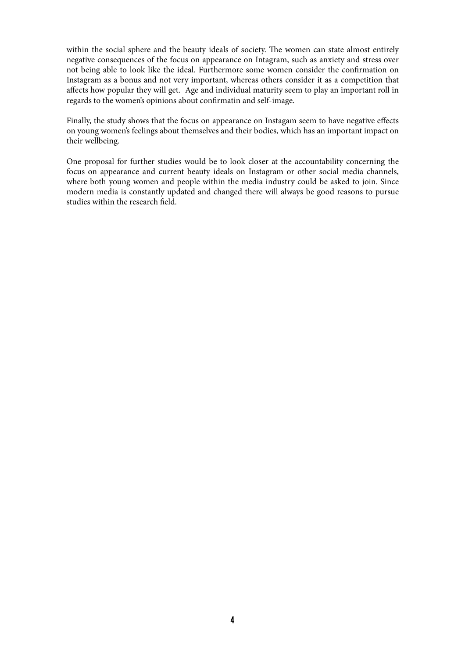within the social sphere and the beauty ideals of society. The women can state almost entirely negative consequences of the focus on appearance on Intagram, such as anxiety and stress over not being able to look like the ideal. Furthermore some women consider the confirmation on Instagram as a bonus and not very important, whereas others consider it as a competition that affects how popular they will get. Age and individual maturity seem to play an important roll in regards to the women's opinions about confirmatin and self-image.

Finally, the study shows that the focus on appearance on Instagam seem to have negative effects on young women's feelings about themselves and their bodies, which has an important impact on their wellbeing.

One proposal for further studies would be to look closer at the accountability concerning the focus on appearance and current beauty ideals on Instagram or other social media channels, where both young women and people within the media industry could be asked to join. Since modern media is constantly updated and changed there will always be good reasons to pursue studies within the research field.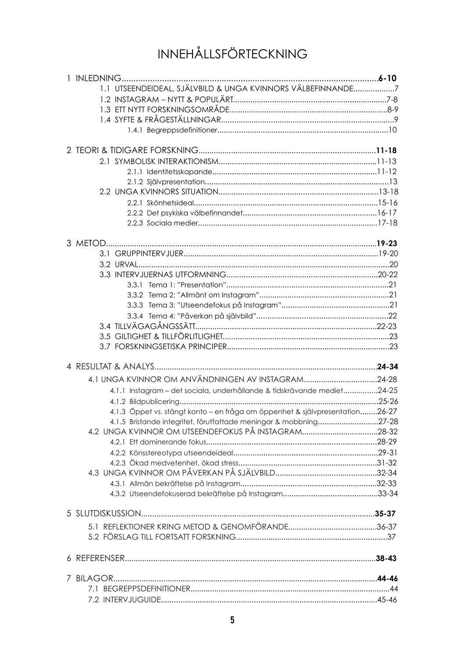# INNEHÅLLSFÖRTECKNING

| 1.1 UTSEENDEIDEAL, SJÄLVBILD & UNGA KVINNORS VÄLBEFINNANDE7                  |            |
|------------------------------------------------------------------------------|------------|
|                                                                              |            |
|                                                                              |            |
|                                                                              |            |
|                                                                              |            |
|                                                                              |            |
|                                                                              |            |
|                                                                              |            |
|                                                                              |            |
|                                                                              |            |
|                                                                              |            |
|                                                                              |            |
|                                                                              |            |
|                                                                              |            |
|                                                                              |            |
|                                                                              |            |
|                                                                              |            |
|                                                                              |            |
|                                                                              |            |
|                                                                              |            |
|                                                                              |            |
|                                                                              |            |
|                                                                              |            |
|                                                                              |            |
|                                                                              |            |
|                                                                              |            |
| 4.1.1 Instagram - det sociala, underhållande & tidskrävande mediet24-25      |            |
|                                                                              |            |
| 4.1.3 Öppet vs. stängt konto – en fråga om öppenhet & självpresentation26-27 |            |
| 4.1.5 Bristande integritet, förutfattade meningar & mobbning                 | $.27 - 28$ |
|                                                                              |            |
|                                                                              |            |
|                                                                              |            |
|                                                                              |            |
|                                                                              |            |
|                                                                              |            |
|                                                                              |            |
|                                                                              |            |
|                                                                              |            |
|                                                                              |            |
|                                                                              |            |
|                                                                              |            |
|                                                                              |            |
|                                                                              |            |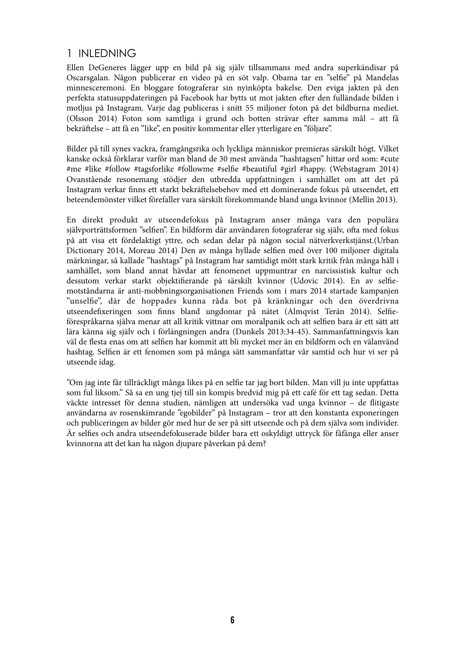## 1 INLEDNING

Ellen DeGeneres lägger upp en bild på sig själv tillsammans med andra superkändisar på Oscarsgalan. Någon publicerar en video på en söt valp. Obama tar en "selfie" på Mandelas minnesceremoni. En bloggare fotograferar sin nyinköpta bakelse. Den eviga jakten på den perfekta statusuppdateringen på Facebook har bytts ut mot jakten efter den fulländade bilden i motljus på Instagram. Varje dag publiceras i snitt 55 miljoner foton på det bildburna mediet. (Olsson 2014) Foton som samtliga i grund och botten strävar efter samma mål – att få bekräftelse – att få en "like", en positiv kommentar eller ytterligare en "följare".

Bilder på till synes vackra, framgångsrika och lyckliga människor premieras särskilt högt. Vilket kanske också förklarar varför man bland de 30 mest använda "hashtagsen" hittar ord som: #cute #me #like #follow #tagsforlike #followme #selfie #beautiful #girl #happy. (Webstagram 2014) Ovanstående resonemang stödjer den utbredda uppfattningen i samhället om att det på Instagram verkar finns ett starkt bekräftelsebehov med ett dominerande fokus på utseendet, ett beteendemönster vilket förefaller vara särskilt förekommande bland unga kvinnor (Mellin 2013).

En direkt produkt av utseendefokus på Instagram anser många vara den populära självporträttsformen "selfien". En bildform där användaren fotograferar sig själv, ofta med fokus på att visa ett fördelaktigt yttre, och sedan delar på någon social nätverkverkstjänst.(Urban Dictionary 2014, Moreau 2014) Den av många hyllade selfien med över 100 miljoner digitala märkningar, så kallade "hashtags" på Instagram har samtidigt mött stark kritik från många håll i samhället, som bland annat hävdar att fenomenet uppmuntrar en narcissistisk kultur och dessutom verkar starkt objektifierande på särskilt kvinnor (Udovic 2014). En av selfiemotståndarna är anti-mobbningsorganisationen Friends som i mars 2014 startade kampanjen "unselfie", där de hoppades kunna råda bot på kränkningar och den överdrivna utseendefixeringen som finns bland ungdomar på nätet (Almqvist Terán 2014). Selfieförespråkarna själva menar att all kritik vittnar om moralpanik och att selfien bara är ett sätt att lära känna sig själv och i förlängningen andra (Dunkels 2013:34-45). Sammanfattningsvis kan väl de flesta enas om att selfien har kommit att bli mycket mer än en bildform och en välanvänd hashtag. Selfien är ett fenomen som på många sätt sammanfattar vår samtid och hur vi ser på utseende idag.

"Om jag inte får tillräckligt många likes på en selfie tar jag bort bilden. Man vill ju inte uppfattas som ful liksom." Så sa en ung tjej till sin kompis bredvid mig på ett café för ett tag sedan. Detta väckte intresset för denna studien, nämligen att undersöka vad unga kvinnor - de flitigaste användarna av rosenskimrande "egobilder" på Instagram – tror att den konstanta exponeringen och publiceringen av bilder gör med hur de ser på sitt utseende och på dem själva som individer. Är selfies och andra utseendefokuserade bilder bara ett oskyldigt uttryck för fåfänga eller anser kvinnorna att det kan ha någon djupare påverkan på dem?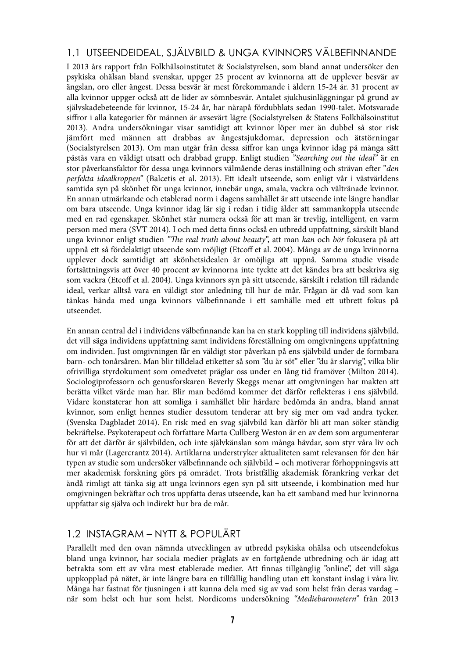## 1.1 UTSEENDEIDEAL, SJÄLVBILD & UNGA KVINNORS VÄLBEFINNANDE

I 2013 års rapport från Folkhälsoinstitutet & Socialstyrelsen, som bland annat undersöker den psykiska ohälsan bland svenskar, uppger 25 procent av kvinnorna att de upplever besvär av ängslan, oro eller ångest. Dessa besvär är mest förekommande i åldern 15-24 år. 31 procent av alla kvinnor uppger också att de lider av sömnbesvär. Antalet sjukhusinläggningar på grund av självskadebeteende för kvinnor, 15-24 år, har närapå fördubblats sedan 1990-talet. Motsvarade siffror i alla kategorier för männen är avsevärt lägre (Socialstyrelsen & Statens Folkhälsoinstitut 2013). Andra undersökningar visar samtidigt att kvinnor löper mer än dubbel så stor risk jämfört med männen att drabbas av ångestsjukdomar, depression och ätstörningar (Socialstyrelsen 2013). Om man utgår från dessa siffror kan unga kvinnor idag på många sätt påstås vara en väldigt utsatt och drabbad grupp. Enligt studien "Searching out the ideal" är en stor påverkansfaktor för dessa unga kvinnors välmående deras inställning och strävan efter "den perfekta idealkroppen" (Balcetis et al. 2013). Ett idealt utseende, som enligt vår i västvärldens samtida syn på skönhet för unga kvinnor, innebär unga, smala, vackra och vältränade kvinnor. En annan utmärkande och etablerad norm i dagens samhället är att utseende inte längre handlar om bara utseende. Unga kvinnor idag lär sig i redan i tidig ålder att sammankoppla utseende med en rad egenskaper. Skönhet står numera också för att man är trevlig, intelligent, en varm person med mera (SVT 2014). I och med detta finns också en utbredd uppfattning, särskilt bland unga kvinnor enligt studien "The real truth about beauty", att man kan och bör fokusera på att uppnå ett så fördelaktigt utseende som möjligt (Etcoff et al. 2004). Många av de unga kvinnorna upplever dock samtidigt att skönhetsidealen är omöjliga att uppnå. Samma studie visade fortsättningsvis att över 40 procent av kvinnorna inte tyckte att det kändes bra att beskriva sig som vackra (Etcoff et al. 2004). Unga kvinnors syn på sitt utseende, särskilt i relation till rådande ideal, verkar alltså vara en väldigt stor anledning till hur de mår. Frågan är då vad som kan tänkas hända med unga kvinnors välbefinnande i ett samhälle med ett utbrett fokus på utseendet.

En annan central del i individens välbefinnande kan ha en stark koppling till individens självbild, det vill säga individens uppfattning samt individens föreställning om omgivningens uppfattning om individen. Just omgivningen får en väldigt stor påverkan på ens självbild under de formbara barn- och tonårsåren. Man blir tilldelad etiketter så som "du är söt" eller "du är slarvig", vilka blir ofrivilliga styrdokument som omedvetet präglar oss under en lång tid framöver (Milton 2014). Sociologiprofessorn och genusforskaren Beverly Skeggs menar att omgivningen har makten att berätta vilket värde man har. Blir man bedömd kommer det därför reflekteras i ens självbild. Vidare konstaterar hon att somliga i samhället blir hårdare bedömda än andra, bland annat kvinnor, som enligt hennes studier dessutom tenderar att bry sig mer om vad andra tycker. (Svenska Dagbladet 2014). En risk med en svag självbild kan därför bli att man söker ständig bekräftelse. Psykoterapeut och författare Marta Cullberg Weston är en av dem som argumenterar för att det därför är självbilden, och inte självkänslan som många hävdar, som styr våra liv och hur vi mår (Lagercrantz 2014). Artiklarna understryker aktualiteten samt relevansen för den här typen av studie som undersöker välbefinnande och självbild – och motiverar förhoppningsvis att mer akademisk forskning görs på området. Trots bristfällig akademisk förankring verkar det ändå rimligt att tänka sig att unga kvinnors egen syn på sitt utseende, i kombination med hur omgivningen bekräftar och tros uppfatta deras utseende, kan ha ett samband med hur kvinnorna uppfattar sig själva och indirekt hur bra de mår.

## 1.2 INSTAGRAM – NYTT & POPULÄRT

Parallellt med den ovan nämnda utvecklingen av utbredd psykiska ohälsa och utseendefokus bland unga kvinnor, har sociala medier präglats av en fortgående utbredning och är idag att betrakta som ett av våra mest etablerade medier. Att finnas tillgänglig "online", det vill säga uppkopplad på nätet, är inte längre bara en tillfällig handling utan ett konstant inslag i våra liv. Många har fastnat för tjusningen i att kunna dela med sig av vad som helst från deras vardag – när som helst och hur som helst. Nordicoms undersökning "Mediebarometern" från 2013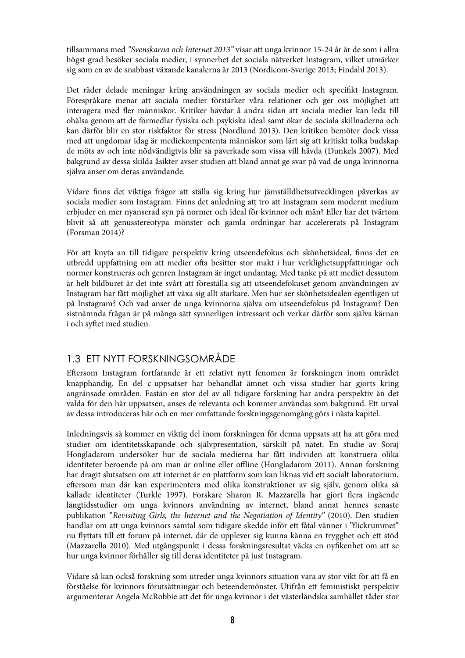tillsammans med "Svenskarna och Internet 2013" visar att unga kvinnor 15-24 år är de som i allra högst grad besöker sociala medier, i synnerhet det sociala nätverket Instagram, vilket utmärker sig som en av de snabbast växande kanalerna år 2013 (Nordicom-Sverige 2013; Findahl 2013).

Det råder delade meningar kring användningen av sociala medier och specifikt Instagram. Förespråkare menar att sociala medier förstärker våra relationer och ger oss möjlighet att interagera med fler människor. Kritiker hävdar å andra sidan att sociala medier kan leda till ohälsa genom att de förmedlar fysiska och psykiska ideal samt ökar de sociala skillnaderna och kan därför blir en stor riskfaktor för stress (Nordlund 2013). Den kritiken bemöter dock vissa med att ungdomar idag är mediekompententa människor som lärt sig att kritiskt tolka budskap de möts av och inte nödvändigtvis blir så påverkade som vissa vill hävda (Dunkels 2007). Med bakgrund av dessa skilda åsikter avser studien att bland annat ge svar på vad de unga kvinnorna själva anser om deras användande.

Vidare finns det viktiga frågor att ställa sig kring hur jämställdhetsutvecklingen påverkas av sociala medier som Instagram. Finns det anledning att tro att Instagram som modernt medium erbjuder en mer nyanserad syn på normer och ideal för kvinnor och män? Eller har det tvärtom blivit så att genusstereotypa mönster och gamla ordningar har accelererats på Instagram (Forsman 2014)?

För att knyta an till tidigare perspektiv kring utseendefokus och skönhetsideal, finns det en utbredd uppfattning om att medier ofta besitter stor makt i hur verklighetsuppfattningar och normer konstrueras och genren Instagram är inget undantag. Med tanke på att mediet dessutom är helt bildburet är det inte svårt att föreställa sig att utseendefokuset genom användningen av Instagram har fått möjlighet att växa sig allt starkare. Men hur ser skönhetsidealen egentligen ut på Instagram? Och vad anser de unga kvinnorna själva om utseendefokus på Instagram? Den sistnämnda frågan är på många sätt synnerligen intressant och verkar därför som själva kärnan i och syftet med studien.

## 1.3 ETT NYTT FORSKNINGSOMRÅDE

Eftersom Instagram fortfarande är ett relativt nytt fenomen är forskningen inom området knapphändig. En del c-uppsatser har behandlat ämnet och vissa studier har gjorts kring angränsade områden. Fastän en stor del av all tidigare forskning har andra perspektiv än det valda för den här uppsatsen, anses de relevanta och kommer användas som bakgrund. Ett urval av dessa introduceras här och en mer omfattande forskningsgenomgång görs i nästa kapitel.

Inledningsvis så kommer en viktig del inom forskningen för denna uppsats att ha att göra med studier om identitetsskapande och självpresentation, särskilt på nätet. En studie av Soraj Hongladarom undersöker hur de sociala medierna har fått individen att konstruera olika identiteter beroende på om man är online eller offline (Hongladarom 2011). Annan forskning har dragit slutsatsen om att internet är en plattform som kan liknas vid ett socialt laboratorium, eftersom man där kan experimentera med olika konstruktioner av sig själv, genom olika så kallade identiteter (Turkle 1997). Forskare Sharon R. Mazzarella har gjort flera ingående långtidsstudier om unga kvinnors användning av internet, bland annat hennes senaste publikation "Revisiting Girls, the Internet and the Negotiation of Identity" (2010). Den studien handlar om att unga kvinnors samtal som tidigare skedde inför ett fåtal vänner i "flickrummet" nu flyttats till ett forum på internet, där de upplever sig kunna känna en trygghet och ett stöd (Mazzarella 2010). Med utgångspunkt i dessa forskningsresultat väcks en nyfikenhet om att se hur unga kvinnor förhåller sig till deras identiteter på just Instagram.

Vidare så kan också forskning som utreder unga kvinnors situation vara av stor vikt för att få en förståelse för kvinnors förutsättningar och beteendemönster. Utifrån ett feministiskt perspektiv argumenterar Angela McRobbie att det för unga kvinnor i det västerländska samhället råder stor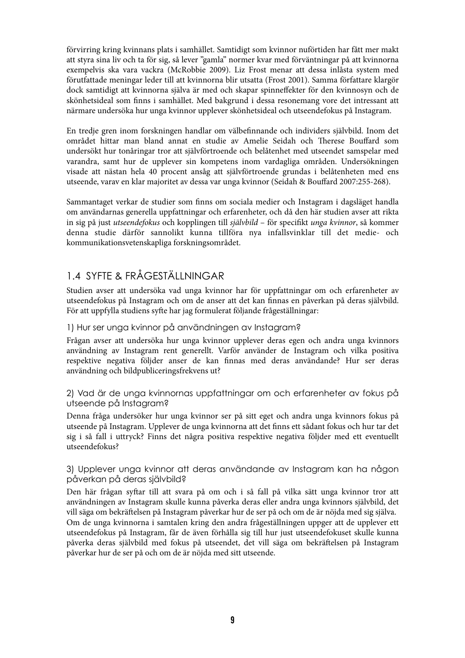förvirring kring kvinnans plats i samhället. Samtidigt som kvinnor nuförtiden har fått mer makt att styra sina liv och ta för sig, så lever "gamla" normer kvar med förväntningar på att kvinnorna exempelvis ska vara vackra (McRobbie 2009). Liz Frost menar att dessa inlåsta system med förutfattade meningar leder till att kvinnorna blir utsatta (Frost 2001). Samma författare klargör dock samtidigt att kvinnorna själva är med och skapar spinneffekter för den kvinnosyn och de skönhetsideal som !nns i samhället. Med bakgrund i dessa resonemang vore det intressant att närmare undersöka hur unga kvinnor upplever skönhetsideal och utseendefokus på Instagram.

En tredje gren inom forskningen handlar om välbefinnande och individers självbild. Inom det området hittar man bland annat en studie av Amelie Seidah och erese Bouffard som undersökt hur tonåringar tror att självförtroende och belåtenhet med utseendet samspelar med varandra, samt hur de upplever sin kompetens inom vardagliga områden. Undersökningen visade att nästan hela 40 procent ansåg att självförtroende grundas i belåtenheten med ens utseende, varav en klar majoritet av dessa var unga kvinnor (Seidah & Bouffard 2007:255-268).

Sammantaget verkar de studier som finns om sociala medier och Instagram i dagsläget handla om användarnas generella uppfattningar och erfarenheter, och då den här studien avser att rikta in sig på just utseendefokus och kopplingen till självbild - för specifikt unga kvinnor, så kommer denna studie därför sannolikt kunna tillföra nya infallsvinklar till det medie- och kommunikationsvetenskapliga forskningsområdet.

# 1.4 SYFTE & FRÅGESTÄLLNINGAR

Studien avser att undersöka vad unga kvinnor har för uppfattningar om och erfarenheter av utseendefokus på Instagram och om de anser att det kan !nnas en påverkan på deras självbild. För att uppfylla studiens syfte har jag formulerat följande frågeställningar:

#### 1) Hur ser unga kvinnor på användningen av Instagram?

Frågan avser att undersöka hur unga kvinnor upplever deras egen och andra unga kvinnors användning av Instagram rent generellt. Varför använder de Instagram och vilka positiva respektive negativa följder anser de kan finnas med deras användande? Hur ser deras användning och bildpubliceringsfrekvens ut?

#### 2) Vad är de unga kvinnornas uppfattningar om och erfarenheter av fokus på utseende på Instagram?

Denna fråga undersöker hur unga kvinnor ser på sitt eget och andra unga kvinnors fokus på utseende på Instagram. Upplever de unga kvinnorna att det finns ett sådant fokus och hur tar det sig i så fall i uttryck? Finns det några positiva respektive negativa följder med ett eventuellt utseendefokus?

#### 3) Upplever unga kvinnor att deras användande av Instagram kan ha någon påverkan på deras självbild?

Den här frågan syftar till att svara på om och i så fall på vilka sätt unga kvinnor tror att användningen av Instagram skulle kunna påverka deras eller andra unga kvinnors självbild, det vill säga om bekräftelsen på Instagram påverkar hur de ser på och om de är nöjda med sig själva. Om de unga kvinnorna i samtalen kring den andra frågeställningen uppger att de upplever ett utseendefokus på Instagram, får de även förhålla sig till hur just utseendefokuset skulle kunna påverka deras självbild med fokus på utseendet, det vill säga om bekräftelsen på Instagram påverkar hur de ser på och om de är nöjda med sitt utseende.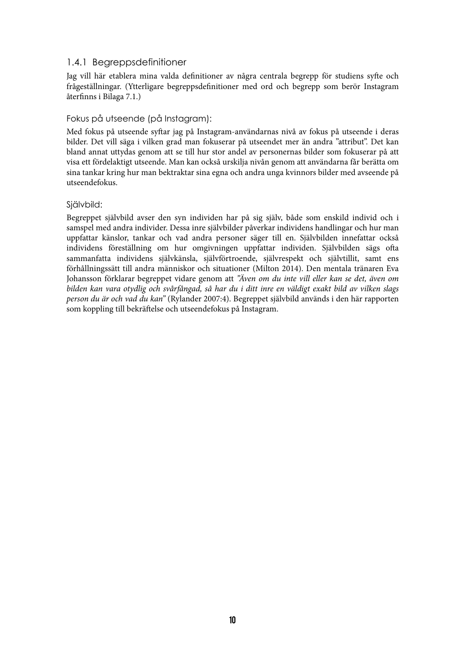#### 1.4.1 Begreppsdefinitioner

Jag vill här etablera mina valda definitioner av några centrala begrepp för studiens syfte och frågeställningar. (Ytterligare begreppsdefinitioner med ord och begrepp som berör Instagram återfinns i Bilaga 7.1.)

#### Fokus på utseende (på Instagram):

Med fokus på utseende syftar jag på Instagram-användarnas nivå av fokus på utseende i deras bilder. Det vill säga i vilken grad man fokuserar på utseendet mer än andra "attribut". Det kan bland annat uttydas genom att se till hur stor andel av personernas bilder som fokuserar på att visa ett fördelaktigt utseende. Man kan också urskilja nivån genom att användarna får berätta om sina tankar kring hur man bektraktar sina egna och andra unga kvinnors bilder med avseende på utseendefokus.

#### Siälvbild:

Begreppet självbild avser den syn individen har på sig själv, både som enskild individ och i samspel med andra individer. Dessa inre självbilder påverkar individens handlingar och hur man uppfattar känslor, tankar och vad andra personer säger till en. Självbilden innefattar också individens föreställning om hur omgivningen uppfattar individen. Självbilden sägs ofta sammanfatta individens självkänsla, självförtroende, självrespekt och självtillit, samt ens förhållningssätt till andra människor och situationer (Milton 2014). Den mentala tränaren Eva Johansson förklarar begreppet vidare genom att "Även om du inte vill eller kan se det, även om bilden kan vara otydlig och svårfångad, så har du i ditt inre en väldigt exakt bild av vilken slags person du är och vad du kan" (Rylander 2007:4). Begreppet självbild används i den här rapporten som koppling till bekräftelse och utseendefokus på Instagram.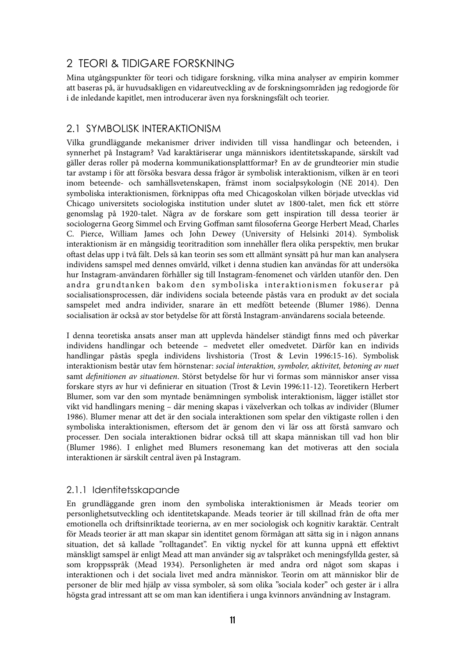## 2 TEORI & TIDIGARE FORSKNING

Mina utgångspunkter för teori och tidigare forskning, vilka mina analyser av empirin kommer att baseras på, är huvudsakligen en vidareutveckling av de forskningsområden jag redogjorde för i de inledande kapitlet, men introducerar även nya forskningsfält och teorier.

## 2.1 SYMBOLISK INTERAKTIONISM

Vilka grundläggande mekanismer driver individen till vissa handlingar och beteenden, i synnerhet på Instagram? Vad karaktäriserar unga människors identitetsskapande, särskilt vad gäller deras roller på moderna kommunikationsplattformar? En av de grundteorier min studie tar avstamp i för att försöka besvara dessa frågor är symbolisk interaktionism, vilken är en teori inom beteende- och samhällsvetenskapen, främst inom socialpsykologin (NE 2014). Den symboliska interaktionismen, förknippas ofta med Chicagoskolan vilken började utvecklas vid Chicago universitets sociologiska institution under slutet av 1800-talet, men fick ett större genomslag på 1920-talet. Några av de forskare som gett inspiration till dessa teorier är sociologerna Georg Simmel och Erving Goffman samt filosoferna George Herbert Mead, Charles C. Pierce, William James och John Dewey (University of Helsinki 2014). Symbolisk interaktionism är en mångsidig teoritradition som innehåller flera olika perspektiv, men brukar oftast delas upp i två fält. Dels så kan teorin ses som ett allmänt synsätt på hur man kan analysera individens samspel med dennes omvärld, vilket i denna studien kan användas för att undersöka hur Instagram-användaren förhåller sig till Instagram-fenomenet och världen utanför den. Den andra grundtanken bakom den symboliska interaktionismen fokuserar på socialisationsprocessen, där individens sociala beteende påstås vara en produkt av det sociala samspelet med andra individer, snarare än ett medfött beteende (Blumer 1986). Denna socialisation är också av stor betydelse för att förstå Instagram-användarens sociala beteende.

I denna teoretiska ansats anser man att upplevda händelser ständigt finns med och påverkar individens handlingar och beteende – medvetet eller omedvetet. Därför kan en individs handlingar påstås spegla individens livshistoria (Trost & Levin 1996:15-16). Symbolisk interaktionism består utav fem hörnstenar: social interaktion, symboler, aktivitet, betoning av nuet samt definitionen av situationen. Störst betydelse för hur vi formas som människor anser vissa forskare styrs av hur vi definierar en situation (Trost & Levin 1996:11-12). Teoretikern Herbert Blumer, som var den som myntade benämningen symbolisk interaktionism, lägger istället stor vikt vid handlingars mening – där mening skapas i växelverkan och tolkas av individer (Blumer 1986). Blumer menar att det är den sociala interaktionen som spelar den viktigaste rollen i den symboliska interaktionismen, eftersom det är genom den vi lär oss att förstå samvaro och processer. Den sociala interaktionen bidrar också till att skapa människan till vad hon blir (Blumer 1986). I enlighet med Blumers resonemang kan det motiveras att den sociala interaktionen är särskilt central även på Instagram.

## 2.1.1 Identitetsskapande

En grundläggande gren inom den symboliska interaktionismen är Meads teorier om personlighetsutveckling och identitetskapande. Meads teorier är till skillnad från de ofta mer emotionella och driftsinriktade teorierna, av en mer sociologisk och kognitiv karaktär. Centralt för Meads teorier är att man skapar sin identitet genom förmågan att sätta sig in i någon annans situation, det så kallade "rolltagandet". En viktig nyckel för att kunna uppnå ett effektivt mänskligt samspel är enligt Mead att man använder sig av talspråket och meningsfyllda gester, så som kroppsspråk (Mead 1934). Personligheten är med andra ord något som skapas i interaktionen och i det sociala livet med andra människor. Teorin om att människor blir de personer de blir med hjälp av vissa symboler, så som olika "sociala koder" och gester är i allra högsta grad intressant att se om man kan identifiera i unga kvinnors användning av Instagram.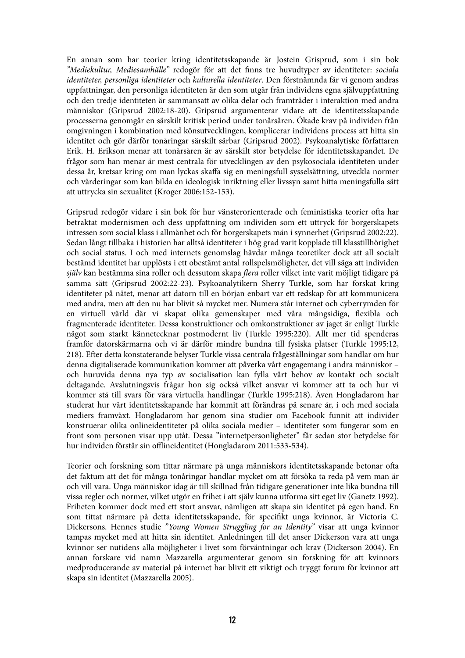En annan som har teorier kring identitetsskapande är Jostein Grisprud, som i sin bok "Mediekultur, Mediesamhälle" redogör för att det finns tre huvudtyper av identiteter: sociala identiteter, personliga identiteter och kulturella identiteter. Den förstnämnda får vi genom andras uppfattningar, den personliga identiteten är den som utgår från individens egna självuppfattning och den tredje identiteten är sammansatt av olika delar och framträder i interaktion med andra människor (Gripsrud 2002:18-20). Gripsrud argumenterar vidare att de identitetsskapande processerna genomgår en särskilt kritisk period under tonårsåren. Ökade krav på individen från omgivningen i kombination med könsutvecklingen, komplicerar individens process att hitta sin identitet och gör därför tonåringar särskilt sårbar (Gripsrud 2002). Psykoanalytiske författaren Erik. H. Erikson menar att tonårsåren är av särskilt stor betydelse för identitetsskapandet. De frågor som han menar är mest centrala för utvecklingen av den psykosociala identiteten under dessa år, kretsar kring om man lyckas skaffa sig en meningsfull sysselsättning, utveckla normer och värderingar som kan bilda en ideologisk inriktning eller livssyn samt hitta meningsfulla sätt att uttrycka sin sexualitet (Kroger 2006:152-153).

Gripsrud redogör vidare i sin bok för hur vänsterorienterade och feministiska teorier ofta har betraktat modernismen och dess uppfattning om individen som ett uttryck för borgerskapets intressen som social klass i allmänhet och för borgerskapets män i synnerhet (Gripsrud 2002:22). Sedan långt tillbaka i historien har alltså identiteter i hög grad varit kopplade till klasstillhörighet och social status. I och med internets genomslag hävdar många teoretiker dock att all socialt bestämd identitet har upplösts i ett obestämt antal rollspelsmöligheter, det vill säga att individen själv kan bestämma sina roller och dessutom skapa *flera* roller vilket inte varit möjligt tidigare på samma sätt (Gripsrud 2002:22-23). Psykoanalytikern Sherry Turkle, som har forskat kring identiteter på nätet, menar att datorn till en början enbart var ett redskap för att kommunicera med andra, men att den nu har blivit så mycket mer. Numera står internet och cyberrymden för en virtuell värld där vi skapat olika gemenskaper med våra mångsidiga, flexibla och fragmenterade identiteter. Dessa konstruktioner och omkonstruktioner av jaget är enligt Turkle något som starkt kännetecknar postmodernt liv (Turkle 1995:220). Allt mer tid spenderas framför datorskärmarna och vi är därför mindre bundna till fysiska platser (Turkle 1995:12, 218). Efter detta konstaterande belyser Turkle vissa centrala frågeställningar som handlar om hur denna digitaliserade kommunikation kommer att påverka vårt engagemang i andra människor – och huruvida denna nya typ av socialisation kan fylla vårt behov av kontakt och socialt deltagande. Avslutningsvis frågar hon sig också vilket ansvar vi kommer att ta och hur vi kommer stå till svars för våra virtuella handlingar (Turkle 1995:218). Även Hongladarom har studerat hur vårt identitetsskapande har kommit att förändras på senare år, i och med sociala mediers framväxt. Hongladarom har genom sina studier om Facebook funnit att individer konstruerar olika onlineidentiteter på olika sociala medier – identiteter som fungerar som en front som personen visar upp utåt. Dessa "internetpersonligheter" får sedan stor betydelse för hur individen förstår sin offlineidentitet (Hongladarom 2011:533-534).

Teorier och forskning som tittar närmare på unga människors identitetsskapande betonar ofta det faktum att det för många tonåringar handlar mycket om att försöka ta reda på vem man är och vill vara. Unga människor idag är till skillnad från tidigare generationer inte lika bundna till vissa regler och normer, vilket utgör en frihet i att själv kunna utforma sitt eget liv (Ganetz 1992). Friheten kommer dock med ett stort ansvar, nämligen att skapa sin identitet på egen hand. En som tittat närmare på detta identitetsskapande, för specifikt unga kvinnor, är Victoria C. Dickersons. Hennes studie "Young Women Struggling for an Identity" visar att unga kvinnor tampas mycket med att hitta sin identitet. Anledningen till det anser Dickerson vara att unga kvinnor ser nutidens alla möjligheter i livet som förväntningar och krav (Dickerson 2004). En annan forskare vid namn Mazzarella argumenterar genom sin forskning för att kvinnors medproducerande av material på internet har blivit ett viktigt och tryggt forum för kvinnor att skapa sin identitet (Mazzarella 2005).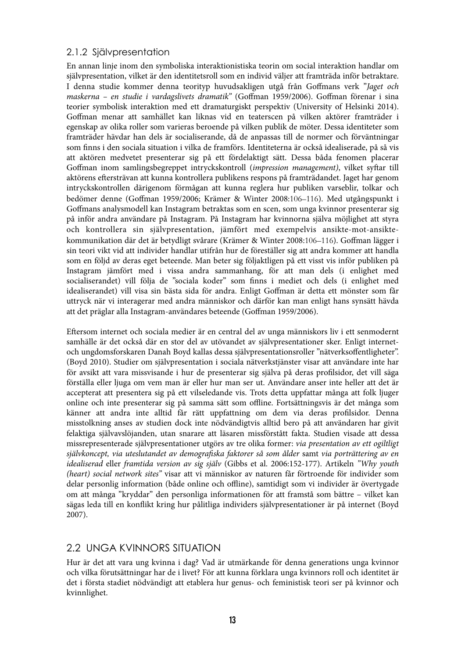#### 2.1.2 Självpresentation

En annan linje inom den symboliska interaktionistiska teorin om social interaktion handlar om självpresentation, vilket är den identitetsroll som en individ väljer att framträda inför betraktare. I denna studie kommer denna teorityp huvudsakligen utgå från Goffmans verk "Jaget och maskerna – en studie i vardagslivets dramatik" (Goffman 1959/2006). Goffman förenar i sina teorier symbolisk interaktion med ett dramaturgiskt perspektiv (University of Helsinki 2014). Goffman menar att samhället kan liknas vid en teaterscen på vilken aktörer framträder i egenskap av olika roller som varieras beroende på vilken publik de möter. Dessa identiteter som framträder hävdar han dels är socialiserande, då de anpassas till de normer och förväntningar som !nns i den sociala situation i vilka de framförs. Identiteterna är också idealiserade, på så vis att aktören medvetet presenterar sig på ett fördelaktigt sätt. Dessa båda fenomen placerar Goffman inom samlingsbegreppet intryckskontroll (impression management), vilket syftar till aktörens eftersträvan att kunna kontrollera publikens respons på framträdandet. Jaget har genom intryckskontrollen därigenom förmågan att kunna reglera hur publiken varseblir, tolkar och bedömer denne (Goffman 1959/2006; Krämer & Winter 2008:106–116). Med utgångspunkt i Goffmans analysmodell kan Instagram betraktas som en scen, som unga kvinnor presenterar sig på inför andra användare på Instagram. På Instagram har kvinnorna själva möjlighet att styra och kontrollera sin självpresentation, jämfört med exempelvis ansikte-mot-ansiktekommunikation där det är betydligt svårare (Krämer & Winter 2008:106–116). Goffman lägger i sin teori vikt vid att individer handlar utifrån hur de föreställer sig att andra kommer att handla som en följd av deras eget beteende. Man beter sig följaktligen på ett visst vis inför publiken på Instagram jämfört med i vissa andra sammanhang, för att man dels (i enlighet med socialiserandet) vill följa de "sociala koder" som finns i mediet och dels (i enlighet med idealiserandet) vill visa sin bästa sida för andra. Enligt Goffman är detta ett mönster som får uttryck när vi interagerar med andra människor och därför kan man enligt hans synsätt hävda att det präglar alla Instagram-användares beteende (Goffman 1959/2006).

Eftersom internet och sociala medier är en central del av unga människors liv i ett senmodernt samhälle är det också där en stor del av utövandet av självpresentationer sker. Enligt internetoch ungdomsforskaren Danah Boyd kallas dessa självpresentationsroller "nätverksoffentligheter". (Boyd 2010). Studier om självpresentation i sociala nätverkstjänster visar att användare inte har för avsikt att vara missvisande i hur de presenterar sig själva på deras profilsidor, det vill säga förställa eller ljuga om vem man är eller hur man ser ut. Användare anser inte heller att det är accepterat att presentera sig på ett vilseledande vis. Trots detta uppfattar många att folk ljuger online och inte presenterar sig på samma sätt som offline. Fortsättningsvis är det många som känner att andra inte alltid får rätt uppfattning om dem via deras profilsidor. Denna misstolkning anses av studien dock inte nödvändigtvis alltid bero på att användaren har givit felaktiga självavslöjanden, utan snarare att läsaren missförstått fakta. Studien visade att dessa missrepresenterade självpresentationer utgörs av tre olika former: via presentation av ett ogiltligt självkoncept, via uteslutandet av demografiska faktorer så som ålder samt via porträttering av en idealiserad eller framtida version av sig själv (Gibbs et al. 2006:152-177). Artikeln "Why youth (heart) social network sites" visar att vi människor av naturen får förtroende för individer som delar personlig information (både online och offline), samtidigt som vi individer är övertygade om att många "kryddar" den personliga informationen för att framstå som bättre – vilket kan sägas leda till en konflikt kring hur pålitliga individers självpresentationer är på internet (Boyd 2007).

## 2.2 UNGA KVINNORS SITUATION

Hur är det att vara ung kvinna i dag? Vad är utmärkande för denna generations unga kvinnor och vilka förutsättningar har de i livet? För att kunna förklara unga kvinnors roll och identitet är det i första stadiet nödvändigt att etablera hur genus- och feministisk teori ser på kvinnor och kvinnlighet.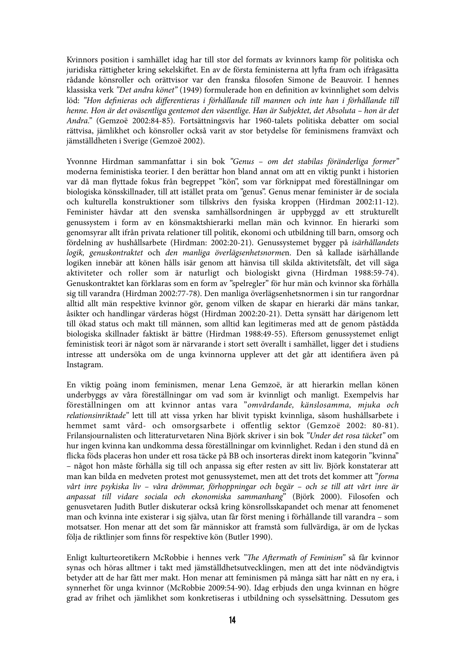Kvinnors position i samhället idag har till stor del formats av kvinnors kamp för politiska och juridiska rättigheter kring sekelskiftet. En av de första feministerna att lyfta fram och ifrågasätta rådande könsroller och orättvisor var den franska !losofen Simone de Beauvoir. I hennes klassiska verk "Det andra könet" (1949) formulerade hon en definition av kvinnlighet som delvis löd: "Hon definieras och differentieras i förhållande till mannen och inte han i förhållande till henne. Hon är det oväsentliga gentemot den väsentlige. Han är Subjektet, det Absoluta – hon är det Andra." (Gemzoë 2002:84-85). Fortsättningsvis har 1960-talets politiska debatter om social rättvisa, jämlikhet och könsroller också varit av stor betydelse för feminismens framväxt och jämställdheten i Sverige (Gemzoë 2002).

Yvonnne Hirdman sammanfattar i sin bok "Genus – om det stabilas föränderliga former" moderna feministiska teorier. I den berättar hon bland annat om att en viktig punkt i historien var då man flyttade fokus från begreppet "kön", som var förknippat med föreställningar om biologiska könsskillnader, till att istället prata om "genus". Genus menar feminister är de sociala och kulturella konstruktioner som tillskrivs den fysiska kroppen (Hirdman 2002:11-12). Feminister hävdar att den svenska samhällsordningen är uppbyggd av ett strukturellt genussystem i form av en könsmaktshierarki mellan män och kvinnor. En hierarki som genomsyrar allt ifrån privata relationer till politik, ekonomi och utbildning till barn, omsorg och fördelning av hushållsarbete (Hirdman: 2002:20-21). Genussystemet bygger på isärhållandets logik, genuskontraktet och den manliga överlägsenhetsnormen. Den så kallade isärhållande logiken innebär att könen hålls isär genom att hänvisa till skilda aktivitetsfält, det vill säga aktiviteter och roller som är naturligt och biologiskt givna (Hirdman 1988:59-74). Genuskontraktet kan förklaras som en form av "spelregler" för hur män och kvinnor ska förhålla sig till varandra (Hirdman 2002:77-78). Den manliga överlägsenhetsnormen i sin tur rangordnar alltid allt män respektive kvinnor gör, genom vilken de skapar en hierarki där mäns tankar, åsikter och handlingar värderas högst (Hirdman 2002:20-21). Detta synsätt har därigenom lett till ökad status och makt till männen, som alltid kan legitimeras med att de genom påstådda biologiska skillnader faktiskt är bättre (Hirdman 1988:49-55). Eftersom genussystemet enligt feministisk teori är något som är närvarande i stort sett överallt i samhället, ligger det i studiens intresse att undersöka om de unga kvinnorna upplever att det går att identifiera även på Instagram.

En viktig poäng inom feminismen, menar Lena Gemzoë, är att hierarkin mellan könen underbyggs av våra föreställningar om vad som är kvinnligt och manligt. Exempelvis har föreställningen om att kvinnor antas vara "omvårdande, känslosamma, mjuka och relationsinriktade" lett till att vissa yrken har blivit typiskt kvinnliga, såsom hushållsarbete i hemmet samt vård- och omsorgsarbete i offentlig sektor (Gemzoë 2002: 80-81). Frilansjournalisten och litteraturvetaren Nina Björk skriver i sin bok "Under det rosa täcket" om hur ingen kvinna kan undkomma dessa föreställningar om kvinnlighet. Redan i den stund då en flicka föds placeras hon under ett rosa täcke på BB och insorteras direkt inom kategorin "kvinna" – något hon måste förhålla sig till och anpassa sig efter resten av sitt liv. Björk konstaterar att man kan bilda en medveten protest mot genussystemet, men att det trots det kommer att "forma vårt inre psykiska liv – våra drömmar, förhoppningar och begär – och se till att vårt inre är anpassat till vidare sociala och ekonomiska sammanhang" (Björk 2000). Filosofen och genusvetaren Judith Butler diskuterar också kring könsrollsskapandet och menar att fenomenet man och kvinna inte existerar i sig själva, utan får först mening i förhållande till varandra – som motsatser. Hon menar att det som får människor att framstå som fullvärdiga, är om de lyckas följa de riktlinjer som finns för respektive kön (Butler 1990).

Enligt kulturteoretikern McRobbie i hennes verk "The Aftermath of Feminism" så får kvinnor synas och höras alltmer i takt med jämställdhetsutvecklingen, men att det inte nödvändigtvis betyder att de har fått mer makt. Hon menar att feminismen på många sätt har nått en ny era, i synnerhet för unga kvinnor (McRobbie 2009:54-90). Idag erbjuds den unga kvinnan en högre grad av frihet och jämlikhet som konkretiseras i utbildning och sysselsättning. Dessutom ges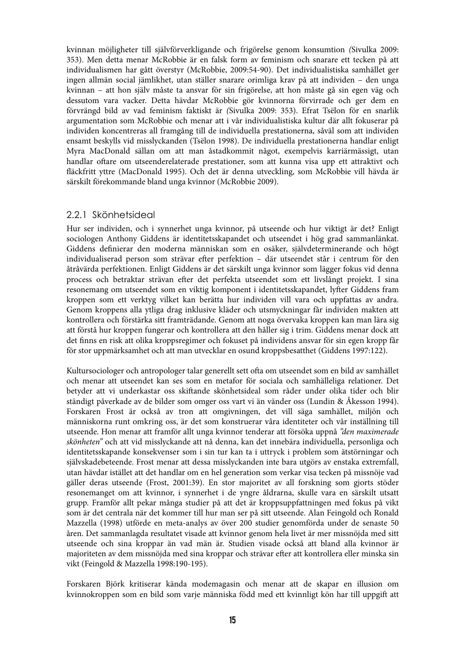kvinnan möjligheter till självförverkligande och frigörelse genom konsumtion (Sivulka 2009: 353). Men detta menar McRobbie är en falsk form av feminism och snarare ett tecken på att individualismen har gått överstyr (McRobbie, 2009:54-90). Det individualistiska samhället ger ingen allmän social jämlikhet, utan ställer snarare orimliga krav på att individen – den unga kvinnan – att hon själv måste ta ansvar för sin frigörelse, att hon måste gå sin egen väg och dessutom vara vacker. Detta hävdar McRobbie gör kvinnorna förvirrade och ger dem en förvrängd bild av vad feminism faktiskt är (Sivulka 2009: 353). Efrat Tsëlon för en snarlik argumentation som McRobbie och menar att i vår individualistiska kultur där allt fokuserar på individen koncentreras all framgång till de individuella prestationerna, såväl som att individen ensamt beskylls vid misslyckanden (Tsëlon 1998). De individuella prestationerna handlar enligt Myra MacDonald sällan om att man åstadkommit något, exempelvis karriärmässigt, utan handlar oftare om utseenderelaterade prestationer, som att kunna visa upp ett attraktivt och fläckfritt yttre (MacDonald 1995). Och det är denna utveckling, som McRobbie vill hävda är särskilt förekommande bland unga kvinnor (McRobbie 2009).

#### 2.2.1 Skönhetsideal

Hur ser individen, och i synnerhet unga kvinnor, på utseende och hur viktigt är det? Enligt sociologen Anthony Giddens är identitetsskapandet och utseendet i hög grad sammanlänkat. Giddens definierar den moderna människan som en osäker, självdeterminerande och högt individualiserad person som strävar efter perfektion - där utseendet står i centrum för den åtråvärda perfektionen. Enligt Giddens är det särskilt unga kvinnor som lägger fokus vid denna process och betraktar strävan efter det perfekta utseendet som ett livslångt projekt. I sina resonemang om utseendet som en viktig komponent i identitetsskapandet, lyfter Giddens fram kroppen som ett verktyg vilket kan berätta hur individen vill vara och uppfattas av andra. Genom kroppens alla ytliga drag inklusive kläder och utsmyckningar får individen makten att kontrollera och förstärka sitt framträdande. Genom att noga övervaka kroppen kan man lära sig att förstå hur kroppen fungerar och kontrollera att den håller sig i trim. Giddens menar dock att det finns en risk att olika kroppsregimer och fokuset på individens ansvar för sin egen kropp får för stor uppmärksamhet och att man utvecklar en osund kroppsbesatthet (Giddens 1997:122).

Kultursociologer och antropologer talar generellt sett ofta om utseendet som en bild av samhället och menar att utseendet kan ses som en metafor för sociala och samhälleliga relationer. Det betyder att vi underkastar oss skiftande skönhetsideal som råder under olika tider och blir ständigt påverkade av de bilder som omger oss vart vi än vänder oss (Lundin & Åkesson 1994). Forskaren Frost är också av tron att omgivningen, det vill säga samhället, miljön och människorna runt omkring oss, är det som konstruerar våra identiteter och vår inställning till utseende. Hon menar att framför allt unga kvinnor tenderar att försöka uppnå "den maximerade skönheten" och att vid misslyckande att nå denna, kan det innebära individuella, personliga och identitetsskapande konsekvenser som i sin tur kan ta i uttryck i problem som ätstörningar och självskadebeteende. Frost menar att dessa misslyckanden inte bara utgörs av enstaka extremfall, utan hävdar istället att det handlar om en hel generation som verkar visa tecken på missnöje vad gäller deras utseende (Frost, 2001:39). En stor majoritet av all forskning som gjorts stöder resonemanget om att kvinnor, i synnerhet i de yngre åldrarna, skulle vara en särskilt utsatt grupp. Framför allt pekar många studier på att det är kroppsuppfattningen med fokus på vikt som är det centrala när det kommer till hur man ser på sitt utseende. Alan Feingold och Ronald Mazzella (1998) utförde en meta-analys av över 200 studier genomförda under de senaste 50 åren. Det sammanlagda resultatet visade att kvinnor genom hela livet är mer missnöjda med sitt utseende och sina kroppar än vad män är. Studien visade också att bland alla kvinnor är majoriteten av dem missnöjda med sina kroppar och strävar efter att kontrollera eller minska sin vikt (Feingold & Mazzella 1998:190-195).

Forskaren Björk kritiserar kända modemagasin och menar att de skapar en illusion om kvinnokroppen som en bild som varje människa född med ett kvinnligt kön har till uppgift att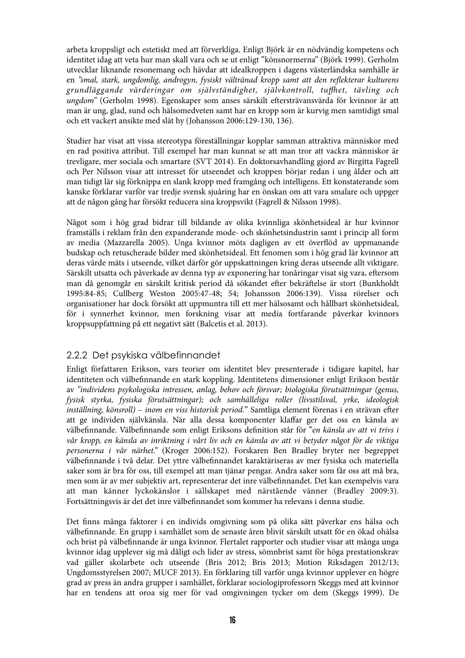arbeta kroppsligt och estetiskt med att förverkliga. Enligt Björk är en nödvändig kompetens och identitet idag att veta hur man skall vara och se ut enligt "könsnormerna" (Björk 1999). Gerholm utvecklar liknande resonemang och hävdar att idealkroppen i dagens västerländska samhälle är en "smal, stark, ungdomlig, androgyn, fysiskt vältränad kropp samt att den reflekterar kulturens grundläggande värderingar om självständighet, självkontroll, tuffhet, tävling och ungdom" (Gerholm 1998). Egenskaper som anses särskilt eftersträvansvärda för kvinnor är att man är ung, glad, sund och hälsomedveten samt har en kropp som är kurvig men samtidigt smal och ett vackert ansikte med slät hy (Johansson 2006:129-130, 136).

Studier har visat att vissa stereotypa föreställningar kopplar samman attraktiva människor med en rad positiva attribut. Till exempel har man kunnat se att man tror att vackra människor är trevligare, mer sociala och smartare (SVT 2014). En doktorsavhandling gjord av Birgitta Fagrell och Per Nilsson visar att intresset för utseendet och kroppen börjar redan i ung ålder och att man tidigt lär sig förknippa en slank kropp med framgång och intelligens. Ett konstaterande som kanske förklarar varför var tredje svensk sjuåring har en önskan om att vara smalare och uppger att de någon gång har försökt reducera sina kroppsvikt (Fagrell & Nilsson 1998).

Något som i hög grad bidrar till bildande av olika kvinnliga skönhetsideal är hur kvinnor framställs i reklam från den expanderande mode- och skönhetsindustrin samt i princip all form av media (Mazzarella 2005). Unga kvinnor möts dagligen av ett överflöd av uppmanande budskap och retuscherade bilder med skönhetsideal. Ett fenomen som i hög grad lär kvinnor att deras värde mäts i utseende, vilket därför gör uppskattningen kring deras utseende allt viktigare. Särskilt utsatta och påverkade av denna typ av exponering har tonåringar visat sig vara, eftersom man då genomgår en särskilt kritisk period då sökandet efter bekräftelse är stort (Bunkholdt 1995:84-85; Cullberg Weston 2005:47-48; 54; Johansson 2006:139). Vissa rörelser och organisationer har dock försökt att uppmuntra till ett mer hälsosamt och hållbart skönhetsideal, för i synnerhet kvinnor, men forskning visar att media fortfarande påverkar kvinnors kroppsuppfattning på ett negativt sätt (Balcetis et al. 2013).

## 2.2.2 Det psykiska välbefinnandet

Enligt författaren Erikson, vars teorier om identitet blev presenterade i tidigare kapitel, har identiteten och välbefinnande en stark koppling. Identitetens dimensioner enligt Erikson består av "individens psykologiska intressen, anlag, behov och försvar; biologiska förutsättningar (genus, fysisk styrka, fysiska förutsättningar); och samhälleliga roller (livsstilsval, yrke, ideologisk inställning, könsroll) – inom en viss historisk period." Samtliga element förenas i en strävan efter att ge individen självkänsla. När alla dessa komponenter klaffar ger det oss en känsla av välbefinnande. Välbefinnande som enligt Eriksons definition står för "en känsla av att vi trivs i vår kropp, en känsla av inriktning i vårt liv och en känsla av att vi betyder något för de viktiga personerna i vår närhet." (Kroger 2006:152). Forskaren Ben Bradley bryter ner begreppet välbefinnande i två delar. Det yttre välbefinnandet karaktäriseras av mer fysiska och materiella saker som är bra för oss, till exempel att man tjänar pengar. Andra saker som får oss att må bra, men som är av mer subjektiv art, representerar det inre välbefinnandet. Det kan exempelvis vara att man känner lyckokänslor i sällskapet med närstående vänner (Bradley 2009:3). Fortsättningsvis är det det inre välbefinnandet som kommer ha relevans i denna studie.

Det finns många faktorer i en individs omgivning som på olika sätt påverkar ens hälsa och välbefinnande. En grupp i samhället som de senaste åren blivit särskilt utsatt för en ökad ohälsa och brist på välbefinnande är unga kvinnor. Flertalet rapporter och studier visar att många unga kvinnor idag upplever sig må dåligt och lider av stress, sömnbrist samt för höga prestationskrav vad gäller skolarbete och utseende (Bris 2012; Bris 2013; Motion Riksdagen 2012/13; Ungdomsstyrelsen 2007; MUCF 2013). En förklaring till varför unga kvinnor upplever en högre grad av press än andra grupper i samhället, förklarar sociologiprofessorn Skeggs med att kvinnor har en tendens att oroa sig mer för vad omgivningen tycker om dem (Skeggs 1999). De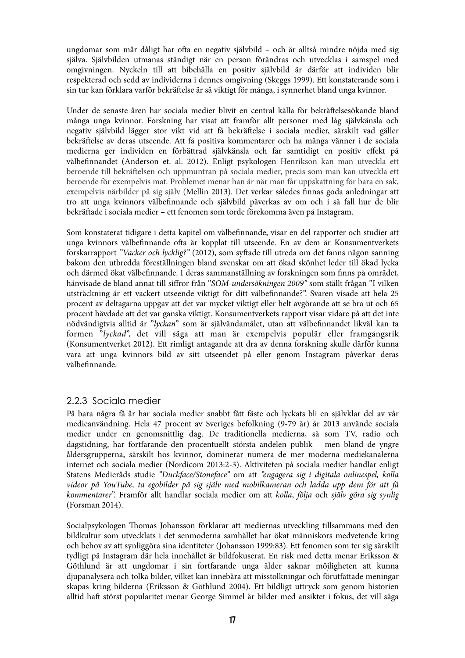ungdomar som mår dåligt har ofta en negativ självbild – och är alltså mindre nöjda med sig själva. Självbilden utmanas ständigt när en person förändras och utvecklas i samspel med omgivningen. Nyckeln till att bibehålla en positiv självbild är därför att individen blir respekterad och sedd av individerna i dennes omgivning (Skeggs 1999). Ett konstaterande som i sin tur kan förklara varför bekräftelse är så viktigt för många, i synnerhet bland unga kvinnor.

Under de senaste åren har sociala medier blivit en central källa för bekräftelsesökande bland många unga kvinnor. Forskning har visat att framför allt personer med låg självkänsla och negativ självbild lägger stor vikt vid att få bekräftelse i sociala medier, särskilt vad gäller bekräftelse av deras utseende. Att få positiva kommentarer och ha många vänner i de sociala medierna ger individen en förbättrad självkänsla och får samtidigt en positiv effekt på välbefinnandet (Anderson et. al. 2012). Enligt psykologen Henrikson kan man utveckla ett beroende till bekräftelsen och uppmuntran på sociala medier, precis som man kan utveckla ett beroende för exempelvis mat. Problemet menar han är när man får uppskattning för bara en sak, exempelvis närbilder på sig själv (Mellin 2013). Det verkar således finnas goda anledningar att tro att unga kvinnors välbefinnande och självbild påverkas av om och i så fall hur de blir bekräftade i sociala medier – ett fenomen som torde förekomma även på Instagram.

Som konstaterat tidigare i detta kapitel om välbefinnande, visar en del rapporter och studier att unga kvinnors välbefinnande ofta är kopplat till utseende. En av dem är Konsumentverkets forskarrapport "Vacker och lycklig?" (2012), som syftade till utreda om det fanns någon sanning bakom den utbredda föreställningen bland svenskar om att ökad skönhet leder till ökad lycka och därmed ökat välbefinnande. I deras sammanställning av forskningen som finns på området, hänvisade de bland annat till siffror från "SOM-undersökningen 2009" som ställt frågan "I vilken utsträckning är ett vackert utseende viktigt för ditt välbefinnande?". Svaren visade att hela 25 procent av deltagarna uppgav att det var mycket viktigt eller helt avgörande att se bra ut och 65 procent hävdade att det var ganska viktigt. Konsumentverkets rapport visar vidare på att det inte nödvändigtvis alltid är "lyckan" som är självändamålet, utan att välbefinnandet likväl kan ta formen "lyckad", det vill säga att man är exempelvis populär eller framgångsrik (Konsumentverket 2012). Ett rimligt antagande att dra av denna forskning skulle därför kunna vara att unga kvinnors bild av sitt utseendet på eller genom Instagram påverkar deras välbefinnande.

## 2.2.3 Sociala medier

På bara några få år har sociala medier snabbt fått fäste och lyckats bli en självklar del av vår medieanvändning. Hela 47 procent av Sveriges befolkning (9-79 år) år 2013 använde sociala medier under en genomsnittlig dag. De traditionella medierna, så som TV, radio och dagstidning, har fortfarande den procentuellt största andelen publik – men bland de yngre åldersgrupperna, särskilt hos kvinnor, dominerar numera de mer moderna mediekanalerna internet och sociala medier (Nordicom 2013:2-3). Aktiviteten på sociala medier handlar enligt Statens Medieråds studie "Duckface/Stoneface" om att "engagera sig i digitala onlinespel, kolla videor på YouTube, ta egobilder på sig själv med mobilkameran och ladda upp dem för att få kommentarer". Framför allt handlar sociala medier om att kolla, följa och själv göra sig synlig (Forsman 2014).

Socialpsykologen Thomas Johansson förklarar att mediernas utveckling tillsammans med den bildkultur som utvecklats i det senmoderna samhället har ökat människors medvetende kring och behov av att synliggöra sina identiteter (Johansson 1999:83). Ett fenomen som ter sig särskilt tydligt på Instagram där hela innehållet är bildfokuserat. En risk med detta menar Eriksson & Göthlund är att ungdomar i sin fortfarande unga ålder saknar möjligheten att kunna djupanalysera och tolka bilder, vilket kan innebära att misstolkningar och förutfattade meningar skapas kring bilderna (Eriksson & Göthlund 2004). Ett bildligt uttryck som genom historien alltid haft störst popularitet menar George Simmel är bilder med ansiktet i fokus, det vill säga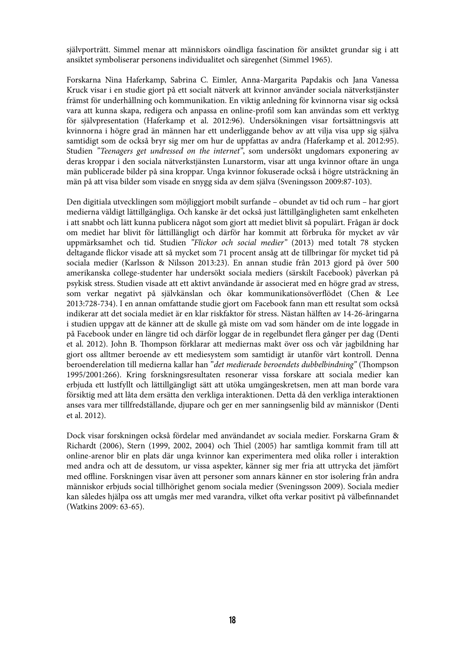självporträtt. Simmel menar att människors oändliga fascination för ansiktet grundar sig i att ansiktet symboliserar personens individualitet och säregenhet (Simmel 1965).

Forskarna Nina Haferkamp, Sabrina C. Eimler, Anna-Margarita Papdakis och Jana Vanessa Kruck visar i en studie gjort på ett socialt nätverk att kvinnor använder sociala nätverkstjänster främst för underhållning och kommunikation. En viktig anledning för kvinnorna visar sig också vara att kunna skapa, redigera och anpassa en online-profil som kan användas som ett verktyg för självpresentation (Haferkamp et al. 2012:96). Undersökningen visar fortsättningsvis att kvinnorna i högre grad än männen har ett underliggande behov av att vilja visa upp sig själva samtidigt som de också bryr sig mer om hur de uppfattas av andra (Haferkamp et al. 2012:95). Studien "Teenagers get undressed on the internet", som undersökt ungdomars exponering av deras kroppar i den sociala nätverkstjänsten Lunarstorm, visar att unga kvinnor oftare än unga män publicerade bilder på sina kroppar. Unga kvinnor fokuserade också i högre utsträckning än män på att visa bilder som visade en snygg sida av dem själva (Sveningsson 2009:87-103).

Den digitiala utvecklingen som möjliggjort mobilt surfande – obundet av tid och rum – har gjort medierna väldigt lättillgängliga. Och kanske är det också just lättillgängligheten samt enkelheten i att snabbt och lätt kunna publicera något som gjort att mediet blivit så populärt. Frågan är dock om mediet har blivit för lättillängligt och därför har kommit att förbruka för mycket av vår uppmärksamhet och tid. Studien "Flickor och social medier" (2013) med totalt 78 stycken deltagande \$ickor visade att så mycket som 71 procent ansåg att de tillbringar för mycket tid på sociala medier (Karlsson & Nilsson 2013:23). En annan studie från 2013 gjord på över 500 amerikanska college-studenter har undersökt sociala mediers (särskilt Facebook) påverkan på psykisk stress. Studien visade att ett aktivt användande är associerat med en högre grad av stress, som verkar negativt på självkänslan och ökar kommunikationsöverflödet (Chen & Lee 2013:728-734). I en annan omfattande studie gjort om Facebook fann man ett resultat som också indikerar att det sociala mediet är en klar riskfaktor för stress. Nästan hälften av 14-26-åringarna i studien uppgav att de känner att de skulle gå miste om vad som händer om de inte loggade in på Facebook under en längre tid och därför loggar de in regelbundet flera gånger per dag (Denti et al. 2012). John B. Thompson förklarar att mediernas makt över oss och vår jagbildning har gjort oss alltmer beroende av ett mediesystem som samtidigt är utanför vårt kontroll. Denna beroenderelation till medierna kallar han "*det medierade beroendets dubbelbindning*" (Thompson 1995/2001:266). Kring forskningsresultaten resonerar vissa forskare att sociala medier kan erbjuda ett lustfyllt och lättillgängligt sätt att utöka umgängeskretsen, men att man borde vara försiktig med att låta dem ersätta den verkliga interaktionen. Detta då den verkliga interaktionen anses vara mer tillfredställande, djupare och ger en mer sanningsenlig bild av människor (Denti et al. 2012).

Dock visar forskningen också fördelar med användandet av sociala medier. Forskarna Gram & Richardt (2006), Stern (1999, 2002, 2004) och Thiel (2005) har samtliga kommit fram till att online-arenor blir en plats där unga kvinnor kan experimentera med olika roller i interaktion med andra och att de dessutom, ur vissa aspekter, känner sig mer fria att uttrycka det jämfört med offline. Forskningen visar även att personer som annars känner en stor isolering från andra människor erbjuds social tillhörighet genom sociala medier (Sveningsson 2009). Sociala medier kan således hjälpa oss att umgås mer med varandra, vilket ofta verkar positivt på välbefinnandet (Watkins 2009: 63-65).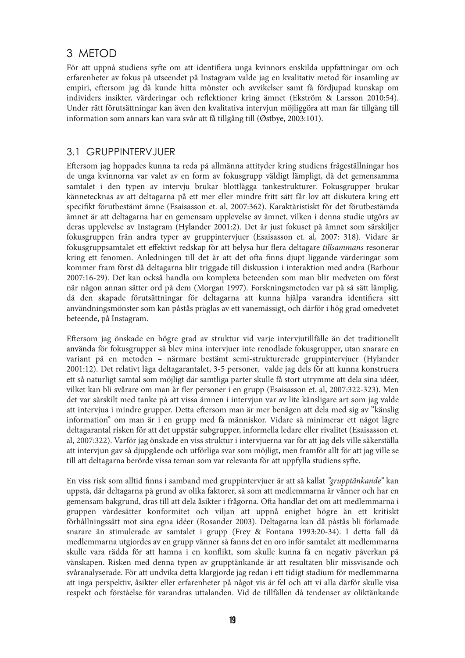## 3 METOD

För att uppnå studiens syfte om att identifiera unga kvinnors enskilda uppfattningar om och erfarenheter av fokus på utseendet på Instagram valde jag en kvalitativ metod för insamling av empiri, eftersom jag då kunde hitta mönster och avvikelser samt få fördjupad kunskap om individers insikter, värderingar och reflektioner kring ämnet (Ekström & Larsson 2010:54). Under rätt förutsättningar kan även den kvalitativa intervjun möjliggöra att man får tillgång till information som annars kan vara svår att få tillgång till (Østbye, 2003:101).

## 3.1 GRUPPINTERVJUER

Eftersom jag hoppades kunna ta reda på allmänna attityder kring studiens frågeställningar hos de unga kvinnorna var valet av en form av fokusgrupp väldigt lämpligt, då det gemensamma samtalet i den typen av intervju brukar blottlägga tankestrukturer. Fokusgrupper brukar kännetecknas av att deltagarna på ett mer eller mindre fritt sätt får lov att diskutera kring ett specifikt förutbestämt ämne (Esaisasson et. al, 2007:362). Karaktäristiskt för det förutbestämda ämnet är att deltagarna har en gemensam upplevelse av ämnet, vilken i denna studie utgörs av deras upplevelse av Instagram (Hylander 2001:2). Det är just fokuset på ämnet som särskiljer fokusgruppen från andra typer av gruppintervjuer (Esaisasson et. al, 2007: 318). Vidare är fokusgruppsamtalet ett effektivt redskap för att belysa hur flera deltagare tillsammans resonerar kring ett fenomen. Anledningen till det är att det ofta finns djupt liggande värderingar som kommer fram först då deltagarna blir triggade till diskussion i interaktion med andra (Barbour 2007:16-29). Det kan också handla om komplexa beteenden som man blir medveten om först när någon annan sätter ord på dem (Morgan 1997). Forskningsmetoden var på så sätt lämplig, då den skapade förutsättningar för deltagarna att kunna hjälpa varandra identifiera sitt användningsmönster som kan påstås präglas av ett vanemässigt, och därför i hög grad omedvetet beteende, på Instagram.

Eftersom jag önskade en högre grad av struktur vid varje intervjutillfälle än det traditionellt använda för fokusgrupper så blev mina intervjuer inte renodlade fokusgrupper, utan snarare en variant på en metoden – närmare bestämt semi-strukturerade gruppintervjuer (Hylander 2001:12). Det relativt låga deltagarantalet, 3-5 personer, valde jag dels för att kunna konstruera ett så naturligt samtal som möjligt där samtliga parter skulle få stort utrymme att dela sina idéer, vilket kan bli svårare om man är fler personer i en grupp (Esaisasson et. al, 2007:322-323). Men det var särskilt med tanke på att vissa ämnen i intervjun var av lite känsligare art som jag valde att intervjua i mindre grupper. Detta eftersom man är mer benägen att dela med sig av "känslig information" om man är i en grupp med få människor. Vidare så minimerar ett något lägre deltagarantal risken för att det uppstår subgrupper, informella ledare eller rivalitet (Esaisasson et. al, 2007:322). Varför jag önskade en viss struktur i intervjuerna var för att jag dels ville säkerställa att intervjun gav så djupgående och utförliga svar som möjligt, men framför allt för att jag ville se till att deltagarna berörde vissa teman som var relevanta för att uppfylla studiens syfte.

En viss risk som alltid finns i samband med gruppintervjuer är att så kallat "grupptänkande" kan uppstå, där deltagarna på grund av olika faktorer, så som att medlemmarna är vänner och har en gemensam bakgrund, dras till att dela åsikter i frågorna. Ofta handlar det om att medlemmarna i gruppen värdesätter konformitet och viljan att uppnå enighet högre än ett kritiskt förhållningssätt mot sina egna idéer (Rosander 2003). Deltagarna kan då påstås bli förlamade snarare än stimulerade av samtalet i grupp (Frey & Fontana 1993:20-34). I detta fall då medlemmarna utgjordes av en grupp vänner så fanns det en oro inför samtalet att medlemmarna skulle vara rädda för att hamna i en konflikt, som skulle kunna få en negativ påverkan på vänskapen. Risken med denna typen av grupptänkande är att resultaten blir missvisande och svåranalyserade. För att undvika detta klargjorde jag redan i ett tidigt stadium för medlemmarna att inga perspektiv, åsikter eller erfarenheter på något vis är fel och att vi alla därför skulle visa respekt och förståelse för varandras uttalanden. Vid de tillfällen då tendenser av oliktänkande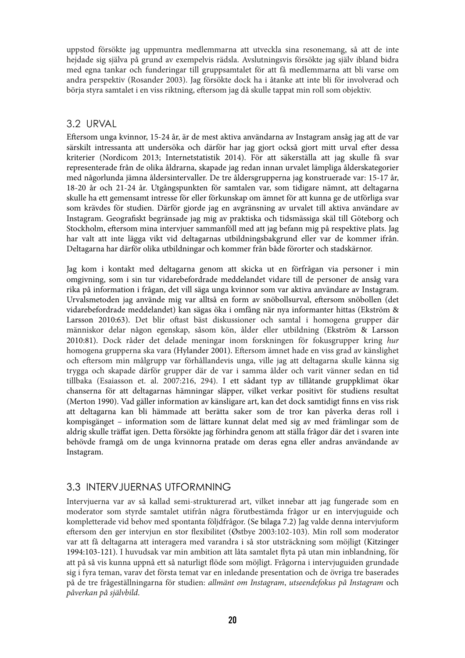uppstod försökte jag uppmuntra medlemmarna att utveckla sina resonemang, så att de inte hejdade sig själva på grund av exempelvis rädsla. Avslutningsvis försökte jag själv ibland bidra med egna tankar och funderingar till gruppsamtalet för att få medlemmarna att bli varse om andra perspektiv (Rosander 2003). Jag försökte dock ha i åtanke att inte bli för involverad och börja styra samtalet i en viss riktning, eftersom jag då skulle tappat min roll som objektiv.

## 3.2 URVAL

Eftersom unga kvinnor, 15-24 år, är de mest aktiva användarna av Instagram ansåg jag att de var särskilt intressanta att undersöka och därför har jag gjort också gjort mitt urval efter dessa kriterier (Nordicom 2013; Internetstatistik 2014). För att säkerställa att jag skulle få svar representerade från de olika åldrarna, skapade jag redan innan urvalet lämpliga ålderskategorier med någorlunda jämna åldersintervaller. De tre åldersgrupperna jag konstruerade var: 15-17 år, 18-20 år och 21-24 år. Utgångspunkten för samtalen var, som tidigare nämnt, att deltagarna skulle ha ett gemensamt intresse för eller förkunskap om ämnet för att kunna ge de utförliga svar som krävdes för studien. Därför gjorde jag en avgränsning av urvalet till aktiva användare av Instagram. Geografiskt begränsade jag mig av praktiska och tidsmässiga skäl till Göteborg och Stockholm, eftersom mina intervjuer sammanföll med att jag befann mig på respektive plats. Jag har valt att inte lägga vikt vid deltagarnas utbildningsbakgrund eller var de kommer ifrån. Deltagarna har därför olika utbildningar och kommer från både förorter och stadskärnor.

Jag kom i kontakt med deltagarna genom att skicka ut en förfrågan via personer i min omgivning, som i sin tur vidarebefordrade meddelandet vidare till de personer de ansåg vara rika på information i frågan, det vill säga unga kvinnor som var aktiva användare av Instagram. Urvalsmetoden jag använde mig var alltså en form av snöbollsurval, eftersom snöbollen (det vidarebefordrade meddelandet) kan sägas öka i omfång när nya informanter hittas (Ekström & Larsson 2010:63). Det blir oftast bäst diskussioner och samtal i homogena grupper där människor delar någon egenskap, såsom kön, ålder eller utbildning (Ekström & Larsson 2010:81). Dock råder det delade meningar inom forskningen för fokusgrupper kring hur homogena grupperna ska vara (Hylander 2001). Eftersom ämnet hade en viss grad av känslighet och eftersom min målgrupp var förhållandevis unga, ville jag att deltagarna skulle känna sig trygga och skapade därför grupper där de var i samma ålder och varit vänner sedan en tid tillbaka (Esaiasson et. al. 2007:216, 294). I ett sådant typ av tillåtande gruppklimat ökar chanserna för att deltagarnas hämningar släpper, vilket verkar positivt för studiens resultat (Merton 1990). Vad gäller information av känsligare art, kan det dock samtidigt finns en viss risk att deltagarna kan bli hämmade att berätta saker som de tror kan påverka deras roll i kompisgänget – information som de lättare kunnat delat med sig av med främlingar som de aldrig skulle träffat igen. Detta försökte jag förhindra genom att ställa frågor där det i svaren inte behövde framgå om de unga kvinnorna pratade om deras egna eller andras användande av Instagram.

## 3.3 INTERVJUERNAS UTFORMNING

Intervjuerna var av så kallad semi-strukturerad art, vilket innebar att jag fungerade som en moderator som styrde samtalet utifrån några förutbestämda frågor ur en intervjuguide och kompletterade vid behov med spontanta följdfrågor. (Se bilaga 7.2) Jag valde denna intervjuform eftersom den ger intervjun en stor flexibilitet (Østbye 2003:102-103). Min roll som moderator var att få deltagarna att interagera med varandra i så stor utsträckning som möjligt (Kitzinger 1994:103-121). I huvudsak var min ambition att låta samtalet \$yta på utan min inblandning, för att på så vis kunna uppnå ett så naturligt flöde som möjligt. Frågorna i intervjuguiden grundade sig i fyra teman, varav det första temat var en inledande presentation och de övriga tre baserades på de tre frågeställningarna för studien: allmänt om Instagram, utseendefokus på Instagram och påverkan på självbild.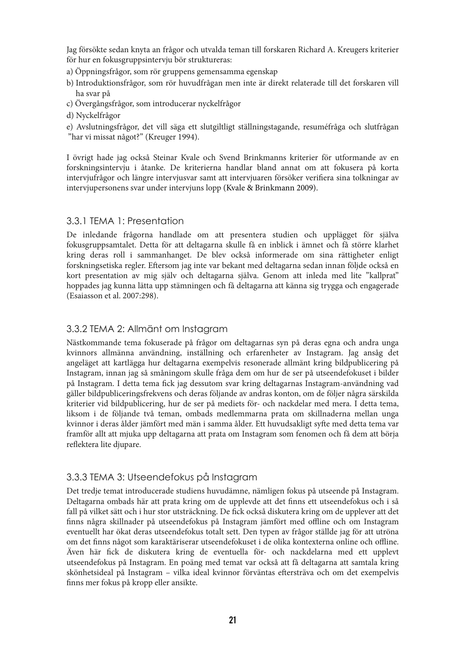Jag försökte sedan knyta an frågor och utvalda teman till forskaren Richard A. Kreugers kriterier för hur en fokusgruppsintervju bör struktureras:

- a) Öppningsfrågor, som rör gruppens gemensamma egenskap
- b) Introduktionsfrågor, som rör huvudfrågan men inte är direkt relaterade till det forskaren vill ha svar på
- c) Övergångsfrågor, som introducerar nyckelfrågor
- d) Nyckelfrågor
- e) Avslutningsfrågor, det vill säga ett slutgiltligt ställningstagande, resuméfråga och slutfrågan "har vi missat något?" (Kreuger 1994).

I övrigt hade jag också Steinar Kvale och Svend Brinkmanns kriterier för utformande av en forskningsintervju i åtanke. De kriterierna handlar bland annat om att fokusera på korta intervjufrågor och längre intervjusvar samt att intervjuaren försöker verifiera sina tolkningar av intervjupersonens svar under intervjuns lopp (Kvale & Brinkmann 2009).

#### 3.3.1 TEMA 1: Presentation

De inledande frågorna handlade om att presentera studien och upplägget för själva fokusgruppsamtalet. Detta för att deltagarna skulle få en inblick i ämnet och få större klarhet kring deras roll i sammanhanget. De blev också informerade om sina rättigheter enligt forskningsetiska regler. Eftersom jag inte var bekant med deltagarna sedan innan följde också en kort presentation av mig själv och deltagarna själva. Genom att inleda med lite "kallprat" hoppades jag kunna lätta upp stämningen och få deltagarna att känna sig trygga och engagerade (Esaiasson et al. 2007:298).

#### 3.3.2 TEMA 2: Allmänt om Instagram

Nästkommande tema fokuserade på frågor om deltagarnas syn på deras egna och andra unga kvinnors allmänna användning, inställning och erfarenheter av Instagram. Jag ansåg det angeläget att kartlägga hur deltagarna exempelvis resonerade allmänt kring bildpublicering på Instagram, innan jag så småningom skulle fråga dem om hur de ser på utseendefokuset i bilder på Instagram. I detta tema !ck jag dessutom svar kring deltagarnas Instagram-användning vad gäller bildpubliceringsfrekvens och deras följande av andras konton, om de följer några särskilda kriterier vid bildpublicering, hur de ser på mediets för- och nackdelar med mera. I detta tema, liksom i de följande två teman, ombads medlemmarna prata om skillnaderna mellan unga kvinnor i deras ålder jämfört med män i samma ålder. Ett huvudsakligt syfte med detta tema var framför allt att mjuka upp deltagarna att prata om Instagram som fenomen och få dem att börja reflektera lite djupare.

## 3.3.3 TEMA 3: Utseendefokus på Instagram

Det tredje temat introducerade studiens huvudämne, nämligen fokus på utseende på Instagram. Deltagarna ombads här att prata kring om de upplevde att det finns ett utseendefokus och i så fall på vilket sätt och i hur stor utsträckning. De fick också diskutera kring om de upplever att det !nns några skillnader på utseendefokus på Instagram jämfört med offline och om Instagram eventuellt har ökat deras utseendefokus totalt sett. Den typen av frågor ställde jag för att utröna om det finns något som karaktäriserar utseendefokuset i de olika kontexterna online och offline. Även här !ck de diskutera kring de eventuella för- och nackdelarna med ett upplevt utseendefokus på Instagram. En poäng med temat var också att få deltagarna att samtala kring skönhetsideal på Instagram - vilka ideal kvinnor förväntas eftersträva och om det exempelvis finns mer fokus på kropp eller ansikte.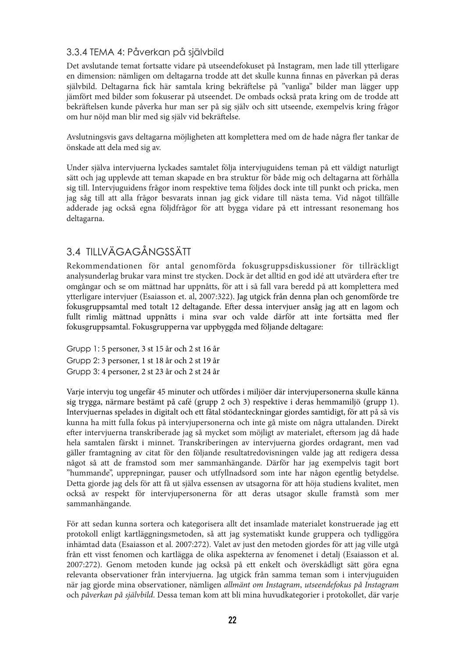## 3.3.4 TEMA 4: Påverkan på självbild

Det avslutande temat fortsatte vidare på utseendefokuset på Instagram, men lade till ytterligare en dimension: nämligen om deltagarna trodde att det skulle kunna finnas en påverkan på deras självbild. Deltagarna fick här samtala kring bekräftelse på "vanliga" bilder man lägger upp jämfört med bilder som fokuserar på utseendet. De ombads också prata kring om de trodde att bekräftelsen kunde påverka hur man ser på sig själv och sitt utseende, exempelvis kring frågor om hur nöjd man blir med sig själv vid bekräftelse.

Avslutningsvis gavs deltagarna möjligheten att komplettera med om de hade några fler tankar de önskade att dela med sig av.

Under själva intervjuerna lyckades samtalet följa intervjuguidens teman på ett väldigt naturligt sätt och jag upplevde att teman skapade en bra struktur för både mig och deltagarna att förhålla sig till. Intervjuguidens frågor inom respektive tema följdes dock inte till punkt och pricka, men jag såg till att alla frågor besvarats innan jag gick vidare till nästa tema. Vid något tillfälle adderade jag också egna följdfrågor för att bygga vidare på ett intressant resonemang hos deltagarna.

## 3.4 TILLVÄGAGÅNGSSÄTT

Rekommendationen för antal genomförda fokusgruppsdiskussioner för tillräckligt analysunderlag brukar vara minst tre stycken. Dock är det alltid en god idé att utvärdera efter tre omgångar och se om mättnad har uppnåtts, för att i så fall vara beredd på att komplettera med ytterligare intervjuer (Esaiasson et. al, 2007:322). Jag utgick från denna plan och genomförde tre fokusgruppsamtal med totalt 12 deltagande. Efter dessa intervjuer ansåg jag att en lagom och fullt rimlig mättnad uppnåtts i mina svar och valde därför att inte fortsätta med fler fokusgruppsamtal. Fokusgrupperna var uppbyggda med följande deltagare:

Grupp 1: 5 personer, 3 st 15 år och 2 st 16 år Grupp 2: 3 personer, 1 st 18 år och 2 st 19 år Grupp 3: 4 personer, 2 st 23 år och 2 st 24 år

Varje intervju tog ungefär 45 minuter och utfördes i miljöer där intervjupersonerna skulle känna sig trygga, närmare bestämt på café (grupp 2 och 3) respektive i deras hemmamiljö (grupp 1). Intervjuernas spelades in digitalt och ett fåtal stödanteckningar gjordes samtidigt, för att på så vis kunna ha mitt fulla fokus på intervjupersonerna och inte gå miste om några uttalanden. Direkt efter intervjuerna transkriberade jag så mycket som möjligt av materialet, eftersom jag då hade hela samtalen färskt i minnet. Transkriberingen av intervjuerna gjordes ordagrant, men vad gäller framtagning av citat för den följande resultatredovisningen valde jag att redigera dessa något så att de framstod som mer sammanhängande. Därför har jag exempelvis tagit bort "hummande", upprepningar, pauser och utfyllnadsord som inte har någon egentlig betydelse. Detta gjorde jag dels för att få ut själva essensen av utsagorna för att höja studiens kvalitet, men också av respekt för intervjupersonerna för att deras utsagor skulle framstå som mer sammanhängande.

För att sedan kunna sortera och kategorisera allt det insamlade materialet konstruerade jag ett protokoll enligt kartläggningsmetoden, så att jag systematiskt kunde gruppera och tydliggöra inhämtad data (Esaiasson et al. 2007:272). Valet av just den metoden gjordes för att jag ville utgå från ett visst fenomen och kartlägga de olika aspekterna av fenomenet i detalj (Esaiasson et al. 2007:272). Genom metoden kunde jag också på ett enkelt och överskådligt sätt göra egna relevanta observationer från intervjuerna. Jag utgick från samma teman som i intervjuguiden när jag gjorde mina observationer, nämligen allmänt om Instagram, utseendefokus på Instagram och påverkan på självbild. Dessa teman kom att bli mina huvudkategorier i protokollet, där varje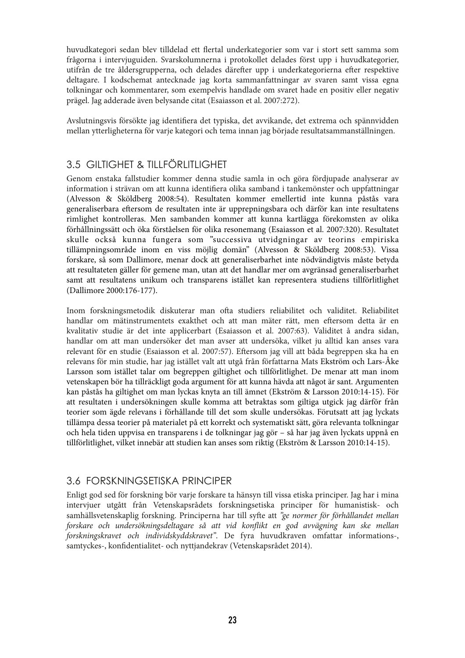huvudkategori sedan blev tilldelad ett flertal underkategorier som var i stort sett samma som frågorna i intervjuguiden. Svarskolumnerna i protokollet delades först upp i huvudkategorier, utifrån de tre åldersgrupperna, och delades därefter upp i underkategorierna efter respektive deltagare. I kodschemat antecknade jag korta sammanfattningar av svaren samt vissa egna tolkningar och kommentarer, som exempelvis handlade om svaret hade en positiv eller negativ prägel. Jag adderade även belysande citat (Esaiasson et al. 2007:272).

Avslutningsvis försökte jag identifiera det typiska, det avvikande, det extrema och spännvidden mellan ytterligheterna för varje kategori och tema innan jag började resultatsammanställningen.

## 3.5 GILTIGHET & TILLFÖRLITLIGHET

Genom enstaka fallstudier kommer denna studie samla in och göra fördjupade analyserar av information i strävan om att kunna identifiera olika samband i tankemönster och uppfattningar (Alvesson & Sköldberg 2008:54). Resultaten kommer emellertid inte kunna påstås vara generaliserbara eftersom de resultaten inte är upprepningsbara och därför kan inte resultatens rimlighet kontrolleras. Men sambanden kommer att kunna kartlägga förekomsten av olika förhållningssätt och öka förståelsen för olika resonemang (Esaiasson et al. 2007:320). Resultatet skulle också kunna fungera som "successiva utvidgningar av teorins empiriska tillämpningsområde inom en viss möjlig domän" (Alvesson & Sköldberg 2008:53). Vissa forskare, så som Dallimore, menar dock att generaliserbarhet inte nödvändigtvis måste betyda att resultateten gäller för gemene man, utan att det handlar mer om avgränsad generaliserbarhet samt att resultatens unikum och transparens istället kan representera studiens tillförlitlighet (Dallimore 2000:176-177).

Inom forskningsmetodik diskuterar man ofta studiers reliabilitet och validitet. Reliabilitet handlar om mätinstrumentets exakthet och att man mäter rätt, men eftersom detta är en kvalitativ studie är det inte applicerbart (Esaiasson et al. 2007:63). Validitet å andra sidan, handlar om att man undersöker det man avser att undersöka, vilket ju alltid kan anses vara relevant för en studie (Esaiasson et al. 2007:57). Eftersom jag vill att båda begreppen ska ha en relevans för min studie, har jag istället valt att utgå från författarna Mats Ekström och Lars-Åke Larsson som istället talar om begreppen giltighet och tillförlitlighet. De menar att man inom vetenskapen bör ha tillräckligt goda argument för att kunna hävda att något är sant. Argumenten kan påstås ha giltighet om man lyckas knyta an till ämnet (Ekström & Larsson 2010:14-15). För att resultaten i undersökningen skulle komma att betraktas som giltiga utgick jag därför från teorier som ägde relevans i förhållande till det som skulle undersökas. Förutsatt att jag lyckats tillämpa dessa teorier på materialet på ett korrekt och systematiskt sätt, göra relevanta tolkningar och hela tiden uppvisa en transparens i de tolkningar jag gör – så har jag även lyckats uppnå en tillförlitlighet, vilket innebär att studien kan anses som riktig (Ekström & Larsson 2010:14-15).

## 3.6 FORSKNINGSETISKA PRINCIPER

Enligt god sed för forskning bör varje forskare ta hänsyn till vissa etiska principer. Jag har i mina intervjuer utgått från Vetenskapsrådets forskningsetiska principer för humanistisk- och samhällsvetenskaplig forskning. Principerna har till syfte att "ge normer för förhållandet mellan forskare och undersökningsdeltagare så att vid konflikt en god avvägning kan ske mellan forskningskravet och individskyddskravet". De fyra huvudkraven omfattar informations-, samtyckes-, konfidentialitet- och nyttjandekrav (Vetenskapsrådet 2014).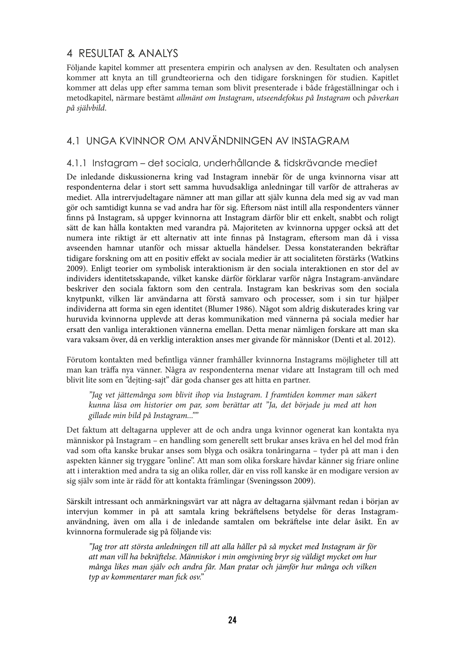## 4 RESULTAT & ANALYS

Följande kapitel kommer att presentera empirin och analysen av den. Resultaten och analysen kommer att knyta an till grundteorierna och den tidigare forskningen för studien. Kapitlet kommer att delas upp efter samma teman som blivit presenterade i både frågeställningar och i metodkapitel, närmare bestämt allmänt om Instagram, utseendefokus på Instagram och påverkan på självbild.

## 4.1 UNGA KVINNOR OM ANVÄNDNINGEN AV INSTAGRAM

#### 4.1.1 Instagram – det sociala, underhållande & tidskrävande mediet

De inledande diskussionerna kring vad Instagram innebär för de unga kvinnorna visar att respondenterna delar i stort sett samma huvudsakliga anledningar till varför de attraheras av mediet. Alla intrervjudeltagare nämner att man gillar att själv kunna dela med sig av vad man gör och samtidigt kunna se vad andra har för sig. Eftersom näst intill alla respondenters vänner !nns på Instagram, så uppger kvinnorna att Instagram därför blir ett enkelt, snabbt och roligt sätt de kan hålla kontakten med varandra på. Majoriteten av kvinnorna uppger också att det numera inte riktigt är ett alternativ att inte finnas på Instagram, eftersom man då i vissa avseenden hamnar utanför och missar aktuella händelser. Dessa konstateranden bekräftar tidigare forskning om att en positiv effekt av sociala medier är att socialiteten förstärks (Watkins 2009). Enligt teorier om symbolisk interaktionism är den sociala interaktionen en stor del av individers identitetsskapande, vilket kanske därför förklarar varför några Instagram-användare beskriver den sociala faktorn som den centrala. Instagram kan beskrivas som den sociala knytpunkt, vilken lär användarna att förstå samvaro och processer, som i sin tur hjälper individerna att forma sin egen identitet (Blumer 1986). Något som aldrig diskuterades kring var huruvida kvinnorna upplevde att deras kommunikation med vännerna på sociala medier har ersatt den vanliga interaktionen vännerna emellan. Detta menar nämligen forskare att man ska vara vaksam över, då en verklig interaktion anses mer givande för människor (Denti et al. 2012).

Förutom kontakten med befintliga vänner framhåller kvinnorna Instagrams möjligheter till att man kan träffa nya vänner. Några av respondenterna menar vidare att Instagram till och med blivit lite som en "dejting-sajt" där goda chanser ges att hitta en partner.

"Jag vet jättemånga som blivit ihop via Instagram. I framtiden kommer man säkert kunna läsa om historier om par, som berättar att "Ja, det började ju med att hon gillade min bild på Instagram...""

Det faktum att deltagarna upplever att de och andra unga kvinnor ogenerat kan kontakta nya människor på Instagram – en handling som generellt sett brukar anses kräva en hel del mod från vad som ofta kanske brukar anses som blyga och osäkra tonåringarna – tyder på att man i den aspekten känner sig tryggare "online". Att man som olika forskare hävdar känner sig friare online att i interaktion med andra ta sig an olika roller, där en viss roll kanske är en modigare version av sig själv som inte är rädd för att kontakta främlingar (Sveningsson 2009).

Särskilt intressant och anmärkningsvärt var att några av deltagarna självmant redan i början av intervjun kommer in på att samtala kring bekräftelsens betydelse för deras Instagramanvändning, även om alla i de inledande samtalen om bekräftelse inte delar åsikt. En av kvinnorna formulerade sig på följande vis:

"Jag tror att största anledningen till att alla håller på så mycket med Instagram är för att man vill ha bekräftelse. Människor i min omgivning bryr sig väldigt mycket om hur många likes man själv och andra får. Man pratar och jämför hur många och vilken typ av kommentarer man fick osv."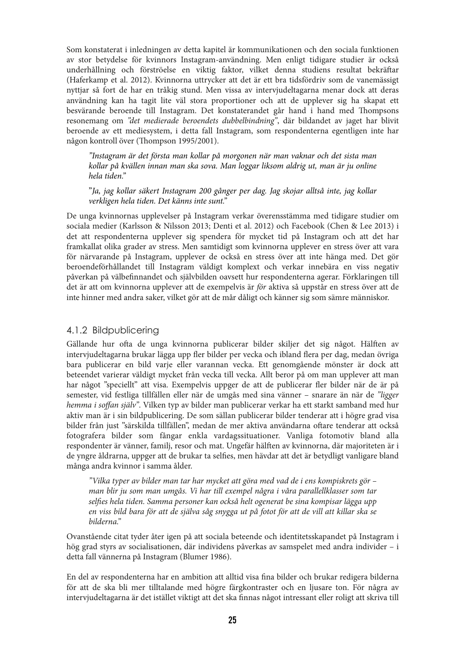Som konstaterat i inledningen av detta kapitel är kommunikationen och den sociala funktionen av stor betydelse för kvinnors Instagram-användning. Men enligt tidigare studier är också underhållning och förströelse en viktig faktor, vilket denna studiens resultat bekräftar (Haferkamp et al. 2012). Kvinnorna uttrycker att det är ett bra tidsfördriv som de vanemässigt nyttjar så fort de har en tråkig stund. Men vissa av intervjudeltagarna menar dock att deras användning kan ha tagit lite väl stora proportioner och att de upplever sig ha skapat ett besvärande beroende till Instagram. Det konstaterandet går hand i hand med Thompsons resonemang om "det medierade beroendets dubbelbindning", där bildandet av jaget har blivit beroende av ett mediesystem, i detta fall Instagram, som respondenterna egentligen inte har någon kontroll över (Thompson 1995/2001).

"Instagram är det första man kollar på morgonen när man vaknar och det sista man kollar på kvällen innan man ska sova. Man loggar liksom aldrig ut, man är ju online hela tiden."

"Ja, jag kollar säkert Instagram 200 gånger per dag. Jag skojar alltså inte, jag kollar verkligen hela tiden. Det känns inte sunt."

De unga kvinnornas upplevelser på Instagram verkar överensstämma med tidigare studier om sociala medier (Karlsson & Nilsson 2013; Denti et al. 2012) och Facebook (Chen & Lee 2013) i det att respondenterna upplever sig spendera för mycket tid på Instagram och att det har framkallat olika grader av stress. Men samtidigt som kvinnorna upplever en stress över att vara för närvarande på Instagram, upplever de också en stress över att inte hänga med. Det gör beroendeförhållandet till Instagram väldigt komplext och verkar innebära en viss negativ påverkan på välbefinnandet och självbilden oavsett hur respondenterna agerar. Förklaringen till det är att om kvinnorna upplever att de exempelvis är för aktiva så uppstår en stress över att de inte hinner med andra saker, vilket gör att de mår dåligt och känner sig som sämre människor.

#### 4.1.2 Bildpublicering

Gällande hur ofta de unga kvinnorna publicerar bilder skiljer det sig något. Hälften av intervjudeltagarna brukar lägga upp fler bilder per vecka och ibland flera per dag, medan övriga bara publicerar en bild varje eller varannan vecka. Ett genomgående mönster är dock att beteendet varierar väldigt mycket från vecka till vecka. Allt beror på om man upplever att man har något "speciellt" att visa. Exempelvis uppger de att de publicerar fler bilder när de är på semester, vid festliga tillfällen eller när de umgås med sina vänner - snarare än när de "ligger hemma i soffan själv". Vilken typ av bilder man publicerar verkar ha ett starkt samband med hur aktiv man är i sin bildpublicering. De som sällan publicerar bilder tenderar att i högre grad visa bilder från just "särskilda tillfällen", medan de mer aktiva användarna oftare tenderar att också fotografera bilder som fångar enkla vardagssituationer. Vanliga fotomotiv bland alla respondenter är vänner, familj, resor och mat. Ungefär hälften av kvinnorna, där majoriteten är i de yngre åldrarna, uppger att de brukar ta selfies, men hävdar att det är betydligt vanligare bland många andra kvinnor i samma ålder.

"Vilka typer av bilder man tar har mycket att göra med vad de i ens kompiskrets gör – man blir ju som man umgås. Vi har till exempel några i våra parallellklasser som tar selfies hela tiden. Samma personer kan också helt ogenerat be sina kompisar lägga upp en viss bild bara för att de själva såg snygga ut på fotot för att de vill att killar ska se bilderna."

Ovanstående citat tyder åter igen på att sociala beteende och identitetsskapandet på Instagram i hög grad styrs av socialisationen, där individens påverkas av samspelet med andra individer – i detta fall vännerna på Instagram (Blumer 1986).

En del av respondenterna har en ambition att alltid visa fina bilder och brukar redigera bilderna för att de ska bli mer tilltalande med högre färgkontraster och en ljusare ton. För några av intervjudeltagarna är det istället viktigt att det ska finnas något intressant eller roligt att skriva till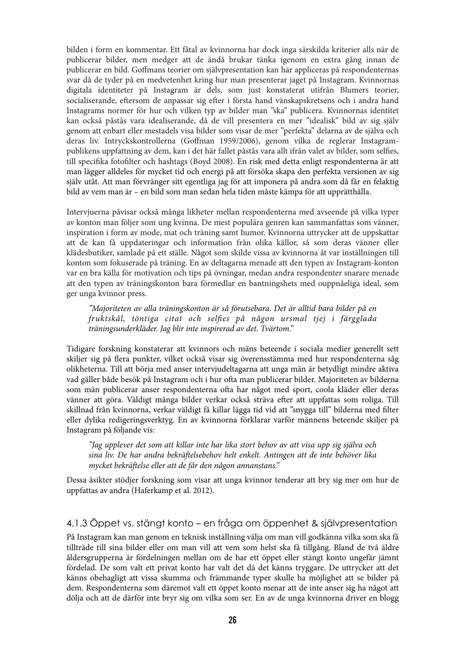bilden i form en kommentar. Ett fåtal av kvinnorna har dock inga särskilda kriterier alls när de publicerar bilder, men medger att de ändå brukar tänka igenom en extra gång innan de publicerar en bild. Goffmans teorier om självpresentation kan här appliceras på respondenternas svar då de tyder på en medvetenhet kring hur man presenterar jaget på Instagram. Kvinnornas digitala identiteter på Instagram är dels, som just konstaterat utifrån Blumers teorier, socialiserande, eftersom de anpassar sig efter i första hand vänskapskretsens och i andra hand Instagrams normer för hur och vilken typ av bilder man "ska" publicera. Kvinnornas identitet kan också påstås vara idealiserande, då de vill presentera en mer "idealisk" bild av sig själv genom att enbart eller mestadels visa bilder som visar de mer "perfekta" delarna av de själva och deras liv. Intryckskontrollerna (Goffman 1959/2006), genom vilka de reglerar Instagrampublikens uppfattning av dem, kan i det här fallet påstås vara allt ifrån valet av bilder, som selfies, till specifika fotofilter och hashtags (Boyd 2008). En risk med detta enligt respondenterna är att man lägger alldeles för mycket tid och energi på att försöka skapa den perfekta versionen av sig själv utåt. Att man förvränger sitt egentliga jag för att imponera på andra som då får en felaktig bild av vem man är – en bild som man sedan hela tiden måste kämpa för att upprätthålla.

Intervjuerna påvisar också många likheter mellan respondenterna med avseende på vilka typer av konton man följer som ung kvinna. De mest populära genren kan sammanfattas som vänner, inspiration i form av mode, mat och träning samt humor. Kvinnorna uttrycker att de uppskattar att de kan få uppdateringar och information från olika källor, så som deras vänner eller klädesbutiker, samlade på ett ställe. Något som skilde vissa av kvinnorna åt var inställningen till konton som fokuserade på träning. En av deltagarna menade att den typen av Instagram-konton var en bra källa för motivation och tips på övningar, medan andra respondenter snarare menade att den typen av träningskonton bara förmedlar en bantningshets med ouppnåeliga ideal, som ger unga kvinnor press.

"Majoriteten av alla träningskonton är så förutsebara. Det är alltid bara bilder på en fruktskål, töntiga citat och selfies på någon ursmal tjej i färgglada träningsunderkläder. Jag blir inte inspirerad av det. Tvärtom."

Tidigare forskning konstaterar att kvinnors och mäns beteende i sociala medier generellt sett skiljer sig på flera punkter, vilket också visar sig överensstämma med hur respondenterna såg olikheterna. Till att börja med anser intervjudeltagarna att unga män är betydligt mindre aktiva vad gäller både besök på Instagram och i hur ofta man publicerar bilder. Majoriteten av bilderna som män publicerar anser respondenterna ofta har något med sport, coola kläder eller deras vänner att göra. Väldigt många bilder verkar också sträva efter att uppfattas som roliga. Till skillnad från kvinnorna, verkar väldigt få killar lägga tid vid att "snygga till" bilderna med filter eller dylika redigeringsverktyg. En av kvinnorna förklarar varför männens beteende skiljer på Instagram på följande vis:

"Jag upplever det som att killar inte har lika stort behov av att visa upp sig själva och sina liv. De har andra bekräftelsebehov helt enkelt. Antingen att de inte behöver lika mycket bekräftelse eller att de får den någon annanstans."

Dessa åsikter stödjer forskning som visar att unga kvinnor tenderar att bry sig mer om hur de uppfattas av andra (Haferkamp et al. 2012).

## 4.1.3 Öppet vs. stängt konto – en fråga om öppenhet & självpresentation

På Instagram kan man genom en teknisk inställning välja om man vill godkänna vilka som ska få tillträde till sina bilder eller om man vill att vem som helst ska få tillgång. Bland de två äldre åldersgrupperna är fördelningen mellan om de har ett öppet eller stängt konto ungefär jämnt fördelad. De som valt ett privat konto har valt det då det känns tryggare. De uttrycker att det känns obehagligt att vissa skumma och främmande typer skulle ha möjlighet att se bilder på dem. Respondenterna som däremot valt ett öppet konto menar att de inte anser sig ha något att dölja och att de därför inte bryr sig om vilka som ser. En av de unga kvinnorna driver en blogg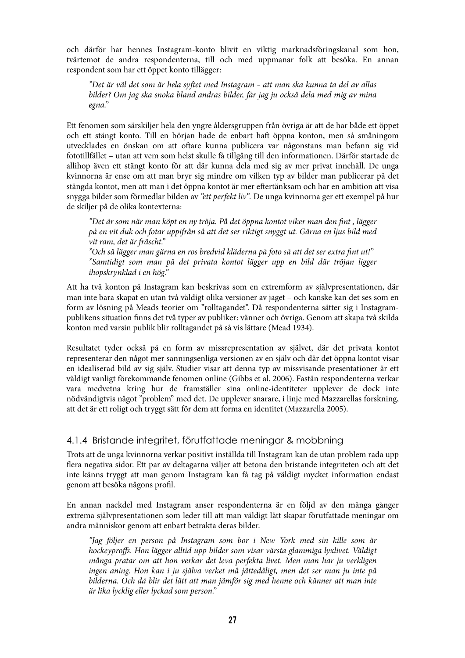och därför har hennes Instagram-konto blivit en viktig marknadsföringskanal som hon, tvärtemot de andra respondenterna, till och med uppmanar folk att besöka. En annan respondent som har ett öppet konto tillägger:

"Det är väl det som är hela syftet med Instagram - att man ska kunna ta del av allas bilder? Om jag ska snoka bland andras bilder, får jag ju också dela med mig av mina egna."

Ett fenomen som särskiljer hela den yngre åldersgruppen från övriga är att de har både ett öppet och ett stängt konto. Till en början hade de enbart haft öppna konton, men så småningom utvecklades en önskan om att oftare kunna publicera var någonstans man befann sig vid fototillfället – utan att vem som helst skulle få tillgång till den informationen. Därför startade de allihop även ett stängt konto för att där kunna dela med sig av mer privat innehåll. De unga kvinnorna är ense om att man bryr sig mindre om vilken typ av bilder man publicerar på det stängda kontot, men att man i det öppna kontot är mer eftertänksam och har en ambition att visa snygga bilder som förmedlar bilden av "ett perfekt liv". De unga kvinnorna ger ett exempel på hur de skiljer på de olika kontexterna:

"Det är som när man köpt en ny tröja. På det öppna kontot viker man den fint, lägger på en vit duk och fotar uppifrån så att det ser riktigt snyggt ut. Gärna en ljus bild med vit ram, det är fräscht."

"Och så lägger man gärna en ros bredvid kläderna på foto så att det ser extra fint ut!" "Samtidigt som man på det privata kontot lägger upp en bild där tröjan ligger ihopskrynklad i en hög."

Att ha två konton på Instagram kan beskrivas som en extremform av självpresentationen, där man inte bara skapat en utan två väldigt olika versioner av jaget – och kanske kan det ses som en form av lösning på Meads teorier om "rolltagandet". Då respondenterna sätter sig i Instagrampublikens situation !nns det två typer av publiker: vänner och övriga. Genom att skapa två skilda konton med varsin publik blir rolltagandet på så vis lättare (Mead 1934).

Resultatet tyder också på en form av missrepresentation av självet, där det privata kontot representerar den något mer sanningsenliga versionen av en själv och där det öppna kontot visar en idealiserad bild av sig själv. Studier visar att denna typ av missvisande presentationer är ett väldigt vanligt förekommande fenomen online (Gibbs et al. 2006). Fastän respondenterna verkar vara medvetna kring hur de framställer sina online-identiteter upplever de dock inte nödvändigtvis något "problem" med det. De upplever snarare, i linje med Mazzarellas forskning, att det är ett roligt och tryggt sätt för dem att forma en identitet (Mazzarella 2005).

## 4.1.4 Bristande integritet, förutfattade meningar & mobbning

Trots att de unga kvinnorna verkar positivt inställda till Instagram kan de utan problem rada upp flera negativa sidor. Ett par av deltagarna väljer att betona den bristande integriteten och att det inte känns tryggt att man genom Instagram kan få tag på väldigt mycket information endast genom att besöka någons profil.

En annan nackdel med Instagram anser respondenterna är en följd av den många gånger extrema självpresentationen som leder till att man väldigt lätt skapar förutfattade meningar om andra människor genom att enbart betrakta deras bilder.

"Jag följer en person på Instagram som bor i New York med sin kille som är hockeyproffs. Hon lägger alltid upp bilder som visar värsta glammiga lyxlivet. Väldigt många pratar om att hon verkar det leva perfekta livet. Men man har ju verkligen ingen aning. Hon kan i ju själva verket må jättedåligt, men det ser man ju inte på bilderna. Och då blir det lätt att man jämför sig med henne och känner att man inte är lika lycklig eller lyckad som person."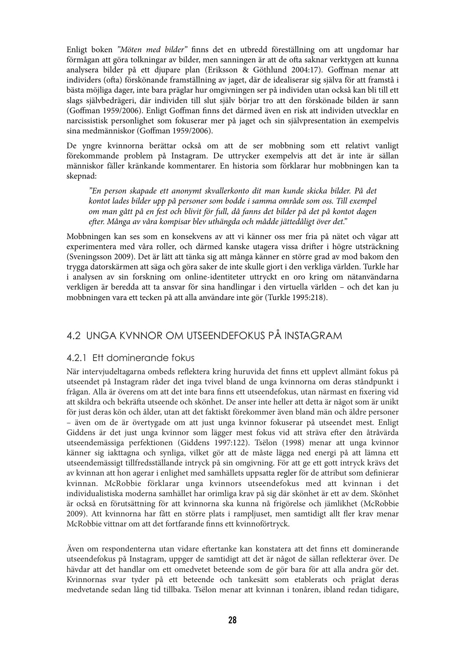Enligt boken "Möten med bilder" finns det en utbredd föreställning om att ungdomar har förmågan att göra tolkningar av bilder, men sanningen är att de ofta saknar verktygen att kunna analysera bilder på ett djupare plan (Eriksson & Göthlund 2004:17). Goffman menar att individers (ofta) förskönande framställning av jaget, där de idealiserar sig själva för att framstå i bästa möjliga dager, inte bara präglar hur omgivningen ser på individen utan också kan bli till ett slags självbedrägeri, där individen till slut själv börjar tro att den förskönade bilden är sann (Goffman 1959/2006). Enligt Goffman finns det därmed även en risk att individen utvecklar en narcissistisk personlighet som fokuserar mer på jaget och sin självpresentation än exempelvis sina medmänniskor (Goffman 1959/2006).

De yngre kvinnorna berättar också om att de ser mobbning som ett relativt vanligt förekommande problem på Instagram. De uttrycker exempelvis att det är inte är sällan människor fäller kränkande kommentarer. En historia som förklarar hur mobbningen kan ta skepnad:

"En person skapade ett anonymt skvallerkonto dit man kunde skicka bilder. På det kontot lades bilder upp på personer som bodde i samma område som oss. Till exempel om man gått på en fest och blivit för full, då fanns det bilder på det på kontot dagen efter. Många av våra kompisar blev uthängda och mådde jättedåligt över det."

Mobbningen kan ses som en konsekvens av att vi känner oss mer fria på nätet och vågar att experimentera med våra roller, och därmed kanske utagera vissa drifter i högre utsträckning (Sveningsson 2009). Det är lätt att tänka sig att många känner en större grad av mod bakom den trygga datorskärmen att säga och göra saker de inte skulle gjort i den verkliga världen. Turkle har i analysen av sin forskning om online-identiteter uttryckt en oro kring om nätanvändarna verkligen är beredda att ta ansvar för sina handlingar i den virtuella världen – och det kan ju mobbningen vara ett tecken på att alla användare inte gör (Turkle 1995:218).

## 4.2 UNGA KVNNOR OM UTSEENDEFOKUS PÅ INSTAGRAM

## 4.2.1 Ett dominerande fokus

När intervjudeltagarna ombeds reflektera kring huruvida det finns ett upplevt allmänt fokus på utseendet på Instagram råder det inga tvivel bland de unga kvinnorna om deras ståndpunkt i frågan. Alla är överens om att det inte bara finns ett utseendefokus, utan närmast en fixering vid att skildra och bekräfta utseende och skönhet. De anser inte heller att detta är något som är unikt för just deras kön och ålder, utan att det faktiskt förekommer även bland män och äldre personer – även om de är övertygade om att just unga kvinnor fokuserar på utseendet mest. Enligt Giddens är det just unga kvinnor som lägger mest fokus vid att sträva efter den åtråvärda utseendemässiga perfektionen (Giddens 1997:122). Tsëlon (1998) menar att unga kvinnor känner sig iakttagna och synliga, vilket gör att de måste lägga ned energi på att lämna ett utseendemässigt tillfredsställande intryck på sin omgivning. För att ge ett gott intryck krävs det av kvinnan att hon agerar i enlighet med samhällets uppsatta regler för de attribut som definierar kvinnan. McRobbie förklarar unga kvinnors utseendefokus med att kvinnan i det individualistiska moderna samhället har orimliga krav på sig där skönhet är ett av dem. Skönhet är också en förutsättning för att kvinnorna ska kunna nå frigörelse och jämlikhet (McRobbie 2009). Att kvinnorna har fått en större plats i rampljuset, men samtidigt allt fler krav menar McRobbie vittnar om att det fortfarande finns ett kvinnoförtryck.

Även om respondenterna utan vidare eftertanke kan konstatera att det finns ett dominerande utseendefokus på Instagram, uppger de samtidigt att det är något de sällan reflekterar över. De hävdar att det handlar om ett omedvetet beteende som de gör bara för att alla andra gör det. Kvinnornas svar tyder på ett beteende och tankesätt som etablerats och präglat deras medvetande sedan lång tid tillbaka. Tsëlon menar att kvinnan i tonåren, ibland redan tidigare,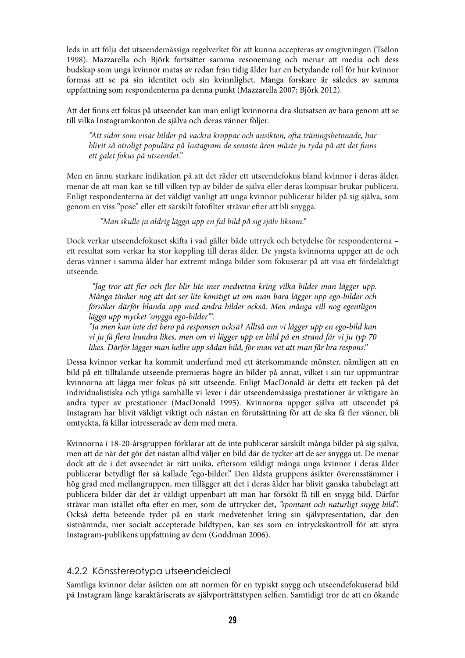leds in att följa det utseendemässiga regelverket för att kunna accepteras av omgivningen (Tsëlon 1998). Mazzarella och Björk fortsätter samma resonemang och menar att media och dess budskap som unga kvinnor matas av redan från tidig ålder har en betydande roll för hur kvinnor formas att se på sin identitet och sin kvinnlighet. Många forskare är således av samma uppfattning som respondenterna på denna punkt (Mazzarella 2007; Björk 2012).

Att det finns ett fokus på utseendet kan man enligt kvinnorna dra slutsatsen av bara genom att se till vilka Instagramkonton de själva och deras vänner följer.

"Att sidor som visar bilder på vackra kroppar och ansikten, ofta träningsbetonade, har blivit så otroligt populära på Instagram de senaste åren måste ju tyda på att det finns ett galet fokus på utseendet."

Men en ännu starkare indikation på att det råder ett utseendefokus bland kvinnor i deras ålder, menar de att man kan se till vilken typ av bilder de själva eller deras kompisar brukar publicera. Enligt respondenterna är det väldigt vanligt att unga kvinnor publicerar bilder på sig själva, som genom en viss "pose" eller ett särskilt fotofilter strävar efter att bli snygga.

"Man skulle ju aldrig lägga upp en ful bild på sig själv liksom."

Dock verkar utseendefokuset skifta i vad gäller både uttryck och betydelse för respondenterna – ett resultat som verkar ha stor koppling till deras ålder. De yngsta kvinnorna uppger att de och deras vänner i samma ålder har extremt många bilder som fokuserar på att visa ett fördelaktigt utseende.

"Jag tror att fler och fler blir lite mer medvetna kring vilka bilder man lägger upp. Många tänker nog att det ser lite konstigt ut om man bara lägger upp ego-bilder och försöker därför blanda upp med andra bilder också. Men många vill nog egentligen lägga upp mycket 'snygga ego-bilder'".

"Ja men kan inte det bero på responsen också? Alltså om vi lägger upp en ego-bild kan vi ju få flera hundra likes, men om vi lägger upp en bild på en strand får vi ju typ 70 likes. Därför lägger man hellre upp sådan bild, för man vet att man får bra respons."

Dessa kvinnor verkar ha kommit underfund med ett återkommande mönster, nämligen att en bild på ett tilltalande utseende premieras högre än bilder på annat, vilket i sin tur uppmuntrar kvinnorna att lägga mer fokus på sitt utseende. Enligt MacDonald är detta ett tecken på det individualistiska och ytliga samhälle vi lever i där utseendemässiga prestationer är viktigare än andra typer av prestationer (MacDonald 1995). Kvinnorna uppger själva att utseendet på Instagram har blivit väldigt viktigt och nästan en förutsättning för att de ska få fler vänner, bli omtyckta, få killar intresserade av dem med mera.

Kvinnorna i 18-20-årsgruppen förklarar att de inte publicerar särskilt många bilder på sig själva, men att de när det gör det nästan alltid väljer en bild där de tycker att de ser snygga ut. De menar dock att de i det avseendet är rätt unika, eftersom väldigt många unga kvinnor i deras ålder publicerar betydligt fler så kallade "ego-bilder." Den äldsta gruppens åsikter överensstämmer i hög grad med mellangruppen, men tillägger att det i deras ålder har blivit ganska tabubelagt att publicera bilder där det är väldigt uppenbart att man har försökt få till en snygg bild. Därför strävar man istället ofta efter en mer, som de uttrycker det, "spontant och naturligt snygg bild". Också detta beteende tyder på en stark medvetenhet kring sin självpresentation, där den sistnämnda, mer socialt accepterade bildtypen, kan ses som en intryckskontroll för att styra Instagram-publikens uppfattning av dem (Goddman 2006).

## 4.2.2 Könsstereotypa utseendeideal

Samtliga kvinnor delar åsikten om att normen för en typiskt snygg och utseendefokuserad bild på Instagram länge karaktäriserats av självporträttstypen selfien. Samtidigt tror de att en ökande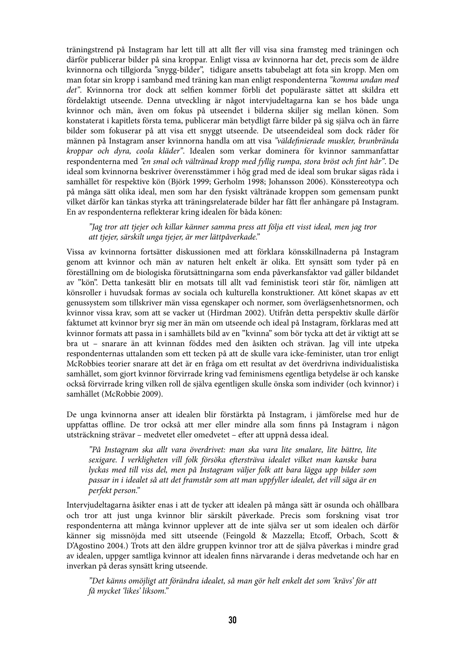träningstrend på Instagram har lett till att allt fler vill visa sina framsteg med träningen och därför publicerar bilder på sina kroppar. Enligt vissa av kvinnorna har det, precis som de äldre kvinnorna och tillgjorda "snygg-bilder", tidigare ansetts tabubelagt att fota sin kropp. Men om man fotar sin kropp i samband med träning kan man enligt respondenterna "komma undan med det". Kvinnorna tror dock att selfien kommer förbli det populäraste sättet att skildra ett fördelaktigt utseende. Denna utveckling är något intervjudeltagarna kan se hos både unga kvinnor och män, även om fokus på utseendet i bilderna skiljer sig mellan könen. Som konstaterat i kapitlets första tema, publicerar män betydligt färre bilder på sig själva och än färre bilder som fokuserar på att visa ett snyggt utseende. De utseendeideal som dock råder för männen på Instagram anser kvinnorna handla om att visa "väldefinierade muskler, brunbrända kroppar och dyra, coola kläder". Idealen som verkar dominera för kvinnor sammanfattar respondenterna med "en smal och vältränad kropp med fyllig rumpa, stora bröst och fint hår". De ideal som kvinnorna beskriver överensstämmer i hög grad med de ideal som brukar sägas råda i samhället för respektive kön (Björk 1999; Gerholm 1998; Johansson 2006). Könsstereotypa och på många sätt olika ideal, men som har den fysiskt vältränade kroppen som gemensam punkt vilket därför kan tänkas styrka att träningsrelaterade bilder har fått fler anhängare på Instagram. En av respondenterna reflekterar kring idealen för båda könen:

"Jag tror att tjejer och killar känner samma press att följa ett visst ideal, men jag tror att tjejer, särskilt unga tjejer, är mer lättpåverkade."

Vissa av kvinnorna fortsätter diskussionen med att förklara könsskillnaderna på Instagram genom att kvinnor och män av naturen helt enkelt är olika. Ett synsätt som tyder på en föreställning om de biologiska förutsättningarna som enda påverkansfaktor vad gäller bildandet av "kön". Detta tankesätt blir en motsats till allt vad feministisk teori står för, nämligen att könsroller i huvudsak formas av sociala och kulturella konstruktioner. Att könet skapas av ett genussystem som tillskriver män vissa egenskaper och normer, som överlägsenhetsnormen, och kvinnor vissa krav, som att se vacker ut (Hirdman 2002). Utifrån detta perspektiv skulle därför faktumet att kvinnor bryr sig mer än män om utseende och ideal på Instagram, förklaras med att kvinnor formats att passa in i samhällets bild av en "kvinna" som bör tycka att det är viktigt att se bra ut – snarare än att kvinnan föddes med den åsikten och strävan. Jag vill inte utpeka respondenternas uttalanden som ett tecken på att de skulle vara icke-feminister, utan tror enligt McRobbies teorier snarare att det är en fråga om ett resultat av det överdrivna individualistiska samhället, som gjort kvinnor förvirrade kring vad feminismens egentliga betydelse är och kanske också förvirrade kring vilken roll de själva egentligen skulle önska som individer (och kvinnor) i samhället (McRobbie 2009).

De unga kvinnorna anser att idealen blir förstärkta på Instagram, i jämförelse med hur de uppfattas offline. De tror också att mer eller mindre alla som finns på Instagram i någon utsträckning strävar – medvetet eller omedvetet – efter att uppnå dessa ideal.

"På Instagram ska allt vara överdrivet: man ska vara lite smalare, lite bättre, lite sexigare. I verkligheten vill folk försöka eftersträva idealet vilket man kanske bara lyckas med till viss del, men på Instagram väljer folk att bara lägga upp bilder som passar in i idealet så att det framstår som att man uppfyller idealet, det vill säga är en perfekt person."

Intervjudeltagarna åsikter enas i att de tycker att idealen på många sätt är osunda och ohållbara och tror att just unga kvinnor blir särskilt påverkade. Precis som forskning visat tror respondenterna att många kvinnor upplever att de inte själva ser ut som idealen och därför känner sig missnöjda med sitt utseende (Feingold & Mazzella; Etcoff, Orbach, Scott & D'Agostino 2004.) Trots att den äldre gruppen kvinnor tror att de själva påverkas i mindre grad av idealen, uppger samtliga kvinnor att idealen finns närvarande i deras medvetande och har en inverkan på deras synsätt kring utseende.

"Det känns omöjligt att förändra idealet, så man gör helt enkelt det som 'krävs' för att få mycket 'likes' liksom."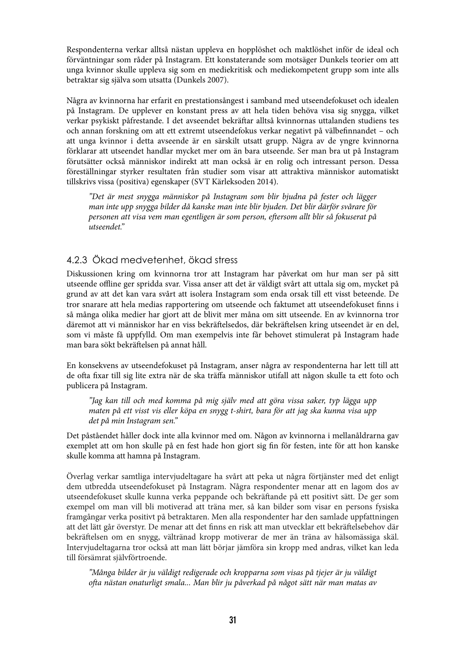Respondenterna verkar alltså nästan uppleva en hopplöshet och maktlöshet inför de ideal och förväntningar som råder på Instagram. Ett konstaterande som motsäger Dunkels teorier om att unga kvinnor skulle uppleva sig som en mediekritisk och mediekompetent grupp som inte alls betraktar sig själva som utsatta (Dunkels 2007).

Några av kvinnorna har erfarit en prestationsångest i samband med utseendefokuset och idealen på Instagram. De upplever en konstant press av att hela tiden behöva visa sig snygga, vilket verkar psykiskt påfrestande. I det avseendet bekräftar alltså kvinnornas uttalanden studiens tes och annan forskning om att ett extremt utseendefokus verkar negativt på välbefinnandet - och att unga kvinnor i detta avseende är en särskilt utsatt grupp. Några av de yngre kvinnorna förklarar att utseendet handlar mycket mer om än bara utseende. Ser man bra ut på Instagram förutsätter också människor indirekt att man också är en rolig och intressant person. Dessa föreställningar styrker resultaten från studier som visar att attraktiva människor automatiskt tillskrivs vissa (positiva) egenskaper (SVT Kärleksoden 2014).

"Det är mest snygga människor på Instagram som blir bjudna på fester och lägger man inte upp snygga bilder då kanske man inte blir bjuden. Det blir därför svårare för personen att visa vem man egentligen är som person, eftersom allt blir så fokuserat på utseendet."

## 4.2.3 Ökad medvetenhet, ökad stress

Diskussionen kring om kvinnorna tror att Instagram har påverkat om hur man ser på sitt utseende offline ger spridda svar. Vissa anser att det är väldigt svårt att uttala sig om, mycket på grund av att det kan vara svårt att isolera Instagram som enda orsak till ett visst beteende. De tror snarare att hela medias rapportering om utseende och faktumet att utseendefokuset finns i så många olika medier har gjort att de blivit mer måna om sitt utseende. En av kvinnorna tror däremot att vi människor har en viss bekräftelsedos, där bekräftelsen kring utseendet är en del, som vi måste få uppfylld. Om man exempelvis inte får behovet stimulerat på Instagram hade man bara sökt bekräftelsen på annat håll.

En konsekvens av utseendefokuset på Instagram, anser några av respondenterna har lett till att de ofta fixar till sig lite extra när de ska träffa människor utifall att någon skulle ta ett foto och publicera på Instagram.

"Jag kan till och med komma på mig själv med att göra vissa saker, typ lägga upp maten på ett visst vis eller köpa en snygg t-shirt, bara för att jag ska kunna visa upp det på min Instagram sen."

Det påståendet håller dock inte alla kvinnor med om. Någon av kvinnorna i mellanåldrarna gav exemplet att om hon skulle på en fest hade hon gjort sig fin för festen, inte för att hon kanske skulle komma att hamna på Instagram.

Överlag verkar samtliga intervjudeltagare ha svårt att peka ut några förtjänster med det enligt dem utbredda utseendefokuset på Instagram. Några respondenter menar att en lagom dos av utseendefokuset skulle kunna verka peppande och bekräftande på ett positivt sätt. De ger som exempel om man vill bli motiverad att träna mer, så kan bilder som visar en persons fysiska framgångar verka positivt på betraktaren. Men alla respondenter har den samlade uppfattningen att det lätt går överstyr. De menar att det finns en risk att man utvecklar ett bekräftelsebehov där bekräftelsen om en snygg, vältränad kropp motiverar de mer än träna av hälsomässiga skäl. Intervjudeltagarna tror också att man lätt börjar jämföra sin kropp med andras, vilket kan leda till försämrat självförtroende.

"Många bilder är ju väldigt redigerade och kropparna som visas på tjejer är ju väldigt ofta nästan onaturligt smala... Man blir ju påverkad på något sätt när man matas av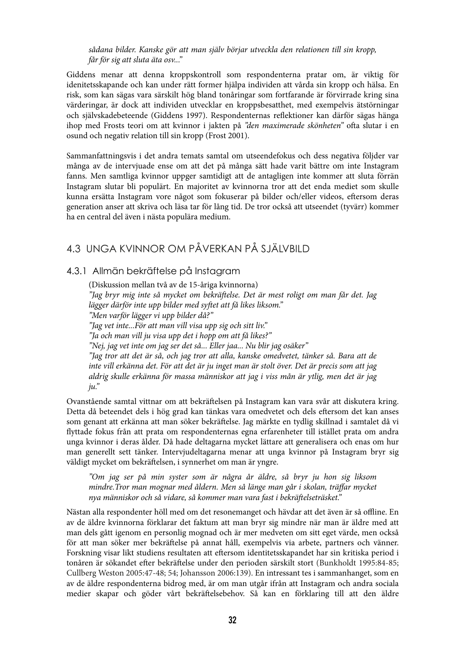sådana bilder. Kanske gör att man själv börjar utveckla den relationen till sin kropp, får för sig att sluta äta osv..."

Giddens menar att denna kroppskontroll som respondenterna pratar om, är viktig för idenitetsskapande och kan under rätt former hjälpa individen att vårda sin kropp och hälsa. En risk, som kan sägas vara särskilt hög bland tonåringar som fortfarande är förvirrade kring sina värderingar, är dock att individen utvecklar en kroppsbesatthet, med exempelvis ätstörningar och självskadebeteende (Giddens 1997). Respondenternas reflektioner kan därför sägas hänga ihop med Frosts teori om att kvinnor i jakten på "den maximerade skönheten" ofta slutar i en osund och negativ relation till sin kropp (Frost 2001).

Sammanfattningsvis i det andra temats samtal om utseendefokus och dess negativa följder var många av de intervjuade ense om att det på många sätt hade varit bättre om inte Instagram fanns. Men samtliga kvinnor uppger samtidigt att de antagligen inte kommer att sluta förrän Instagram slutar bli populärt. En majoritet av kvinnorna tror att det enda mediet som skulle kunna ersätta Instagram vore något som fokuserar på bilder och/eller videos, eftersom deras generation anser att skriva och läsa tar för lång tid. De tror också att utseendet (tyvärr) kommer ha en central del även i nästa populära medium.

## 4.3 UNGA KVINNOR OM PÅVERKAN PÅ SJÄLVBILD

#### 4.3.1 Allmän bekräftelse på Instagram

(Diskussion mellan två av de 15-åriga kvinnorna) "Jag bryr mig inte så mycket om bekräftelse. Det är mest roligt om man får det. Jag lägger därför inte upp bilder med syftet att få likes liksom." "Men varför lägger vi upp bilder då?" "Jag vet inte...För att man vill visa upp sig och sitt liv." "Ja och man vill ju visa upp det i hopp om att få likes?" "Nej, jag vet inte om jag ser det så... Eller jaa... Nu blir jag osäker" "Jag tror att det är så, och jag tror att alla, kanske omedvetet, tänker så. Bara att de inte vill erkänna det. För att det är ju inget man är stolt över. Det är precis som att jag aldrig skulle erkänna för massa människor att jag i viss mån är ytlig, men det är jag ju."

Ovanstående samtal vittnar om att bekräftelsen på Instagram kan vara svår att diskutera kring. Detta då beteendet dels i hög grad kan tänkas vara omedvetet och dels eftersom det kan anses som genant att erkänna att man söker bekräftelse. Jag märkte en tydlig skillnad i samtalet då vi flyttade fokus från att prata om respondenternas egna erfarenheter till istället prata om andra unga kvinnor i deras ålder. Då hade deltagarna mycket lättare att generalisera och enas om hur man generellt sett tänker. Intervjudeltagarna menar att unga kvinnor på Instagram bryr sig väldigt mycket om bekräftelsen, i synnerhet om man är yngre.

"Om jag ser på min syster som är några år äldre, så bryr ju hon sig liksom mindre.Tror man mognar med åldern. Men så länge man går i skolan, träffar mycket nya människor och så vidare, så kommer man vara fast i bekräftelseträsket."

Nästan alla respondenter höll med om det resonemanget och hävdar att det även är så offline. En av de äldre kvinnorna förklarar det faktum att man bryr sig mindre när man är äldre med att man dels gått igenom en personlig mognad och är mer medveten om sitt eget värde, men också för att man söker mer bekräftelse på annat håll, exempelvis via arbete, partners och vänner. Forskning visar likt studiens resultaten att eftersom identitetsskapandet har sin kritiska period i tonåren är sökandet efter bekräftelse under den perioden särskilt stort (Bunkholdt 1995:84-85; Cullberg Weston 2005:47-48; 54; Johansson 2006:139). En intressant tes i sammanhanget, som en av de äldre respondenterna bidrog med, är om man utgår ifrån att Instagram och andra sociala medier skapar och göder vårt bekräftelsebehov. Så kan en förklaring till att den äldre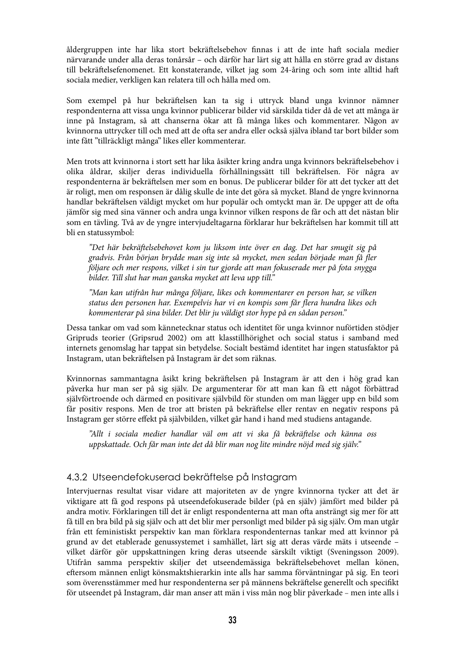åldergruppen inte har lika stort bekräftelsebehov finnas i att de inte haft sociala medier närvarande under alla deras tonårsår – och därför har lärt sig att hålla en större grad av distans till bekräftelsefenomenet. Ett konstaterande, vilket jag som 24-åring och som inte alltid haft sociala medier, verkligen kan relatera till och hålla med om.

Som exempel på hur bekräftelsen kan ta sig i uttryck bland unga kvinnor nämner respondenterna att vissa unga kvinnor publicerar bilder vid särskilda tider då de vet att många är inne på Instagram, så att chanserna ökar att få många likes och kommentarer. Någon av kvinnorna uttrycker till och med att de ofta ser andra eller också själva ibland tar bort bilder som inte fått "tillräckligt många" likes eller kommenterar.

Men trots att kvinnorna i stort sett har lika åsikter kring andra unga kvinnors bekräftelsebehov i olika åldrar, skiljer deras individuella förhållningssätt till bekräftelsen. För några av respondenterna är bekräftelsen mer som en bonus. De publicerar bilder för att det tycker att det är roligt, men om responsen är dålig skulle de inte det göra så mycket. Bland de yngre kvinnorna handlar bekräftelsen väldigt mycket om hur populär och omtyckt man är. De uppger att de ofta jämför sig med sina vänner och andra unga kvinnor vilken respons de får och att det nästan blir som en tävling. Två av de yngre intervjudeltagarna förklarar hur bekräftelsen har kommit till att bli en statussymbol:

"Det här bekräftelsebehovet kom ju liksom inte över en dag. Det har smugit sig på gradvis. Från början brydde man sig inte så mycket, men sedan började man få fler följare och mer respons, vilket i sin tur gjorde att man fokuserade mer på fota snygga bilder. Till slut har man ganska mycket att leva upp till."

"Man kan utifrån hur många följare, likes och kommentarer en person har, se vilken status den personen har. Exempelvis har vi en kompis som får flera hundra likes och kommenterar på sina bilder. Det blir ju väldigt stor hype på en sådan person."

Dessa tankar om vad som kännetecknar status och identitet för unga kvinnor nuförtiden stödjer Gripruds teorier (Gripsrud 2002) om att klasstillhörighet och social status i samband med internets genomslag har tappat sin betydelse. Socialt bestämd identitet har ingen statusfaktor på Instagram, utan bekräftelsen på Instagram är det som räknas.

Kvinnornas sammantagna åsikt kring bekräftelsen på Instagram är att den i hög grad kan påverka hur man ser på sig själv. De argumenterar för att man kan få ett något förbättrad självförtroende och därmed en positivare självbild för stunden om man lägger upp en bild som får positiv respons. Men de tror att bristen på bekräftelse eller rentav en negativ respons på Instagram ger större effekt på självbilden, vilket går hand i hand med studiens antagande.

"Allt i sociala medier handlar väl om att vi ska få bekräftelse och känna oss uppskattade. Och får man inte det då blir man nog lite mindre nöjd med sig själv."

## 4.3.2 Utseendefokuserad bekräftelse på Instagram

Intervjuernas resultat visar vidare att majoriteten av de yngre kvinnorna tycker att det är viktigare att få god respons på utseendefokuserade bilder (på en själv) jämfört med bilder på andra motiv. Förklaringen till det är enligt respondenterna att man ofta ansträngt sig mer för att få till en bra bild på sig själv och att det blir mer personligt med bilder på sig själv. Om man utgår från ett feministiskt perspektiv kan man förklara respondenternas tankar med att kvinnor på grund av det etablerade genussystemet i samhället, lärt sig att deras värde mäts i utseende – vilket därför gör uppskattningen kring deras utseende särskilt viktigt (Sveningsson 2009). Utifrån samma perspektiv skiljer det utseendemässiga bekräftelsebehovet mellan könen, eftersom männen enligt könsmaktshierarkin inte alls har samma förväntningar på sig. En teori som överensstämmer med hur respondenterna ser på männens bekräftelse generellt och specifikt för utseendet på Instagram, där man anser att män i viss mån nog blir påverkade – men inte alls i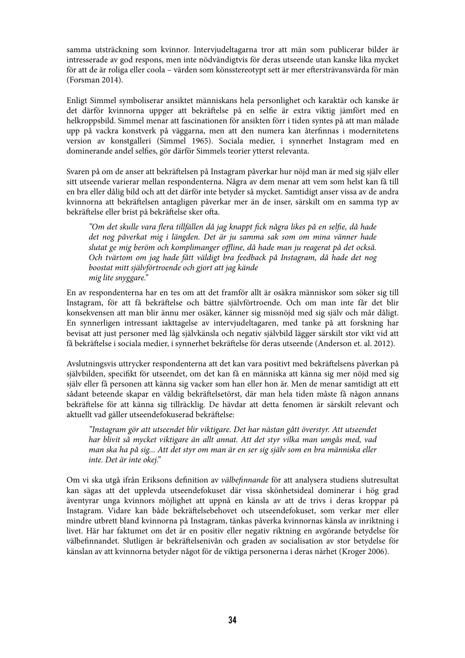samma utsträckning som kvinnor. Intervjudeltagarna tror att män som publicerar bilder är intresserade av god respons, men inte nödvändigtvis för deras utseende utan kanske lika mycket för att de är roliga eller coola – värden som könsstereotypt sett är mer eftersträvansvärda för män (Forsman 2014).

Enligt Simmel symboliserar ansiktet människans hela personlighet och karaktär och kanske är det därför kvinnorna uppger att bekräftelse på en selfie är extra viktig jämfört med en helkroppsbild. Simmel menar att fascinationen för ansikten förr i tiden syntes på att man målade upp på vackra konstverk på väggarna, men att den numera kan återfinnas i modernitetens version av konstgalleri (Simmel 1965). Sociala medier, i synnerhet Instagram med en dominerande andel selfies, gör därför Simmels teorier ytterst relevanta.

Svaren på om de anser att bekräftelsen på Instagram påverkar hur nöjd man är med sig själv eller sitt utseende varierar mellan respondenterna. Några av dem menar att vem som helst kan få till en bra eller dålig bild och att det därför inte betyder så mycket. Samtidigt anser vissa av de andra kvinnorna att bekräftelsen antagligen påverkar mer än de inser, särskilt om en samma tvp av bekräftelse eller brist på bekräftelse sker ofta.

"Om det skulle vara flera tillfällen då jag knappt fick några likes på en selfie, då hade det nog påverkat mig i längden. Det är ju samma sak som om mina vänner hade slutat ge mig beröm och komplimanger offline, då hade man ju reagerat på det också. Och tvärtom om jag hade fått väldigt bra feedback på Instagram, då hade det nog boostat mitt självförtroende och gjort att jag kände mig lite snyggare."

En av respondenterna har en tes om att det framför allt är osäkra människor som söker sig till Instagram, för att få bekräftelse och bättre självförtroende. Och om man inte får det blir konsekvensen att man blir ännu mer osäker, känner sig missnöjd med sig själv och mår dåligt. En synnerligen intressant iakttagelse av intervjudeltagaren, med tanke på att forskning har bevisat att just personer med låg självkänsla och negativ självbild lägger särskilt stor vikt vid att få bekräftelse i sociala medier, i synnerhet bekräftelse för deras utseende (Anderson et. al. 2012).

Avslutningsvis uttrycker respondenterna att det kan vara positivt med bekräftelsens påverkan på självbilden, specifikt för utseendet, om det kan få en människa att känna sig mer nöjd med sig själv eller få personen att känna sig vacker som han eller hon är. Men de menar samtidigt att ett sådant beteende skapar en väldig bekräftelsetörst, där man hela tiden måste få någon annans bekräftelse för att känna sig tillräcklig. De hävdar att detta fenomen är särskilt relevant och aktuellt vad gäller utseendefokuserad bekräftelse:

"Instagram gör att utseendet blir viktigare. Det har nästan gått överstyr. Att utseendet har blivit så mycket viktigare än allt annat. Att det styr vilka man umgås med, vad man ska ha på sig... Att det styr om man är en ser sig själv som en bra människa eller inte. Det är inte okej."

Om vi ska utgå ifrån Eriksons definition av välbefinnande för att analysera studiens slutresultat kan sägas att det upplevda utseendefokuset där vissa skönhetsideal dominerar i hög grad äventyrar unga kvinnors möjlighet att uppnå en känsla av att de trivs i deras kroppar på Instagram. Vidare kan både bekräftelsebehovet och utseendefokuset, som verkar mer eller mindre utbrett bland kvinnorna på Instagram, tänkas påverka kvinnornas känsla av inriktning i livet. Här har faktumet om det är en positiv eller negativ riktning en avgörande betydelse för välbefinnandet. Slutligen är bekräftelsenivån och graden av socialisation av stor betydelse för känslan av att kvinnorna betyder något för de viktiga personerna i deras närhet (Kroger 2006).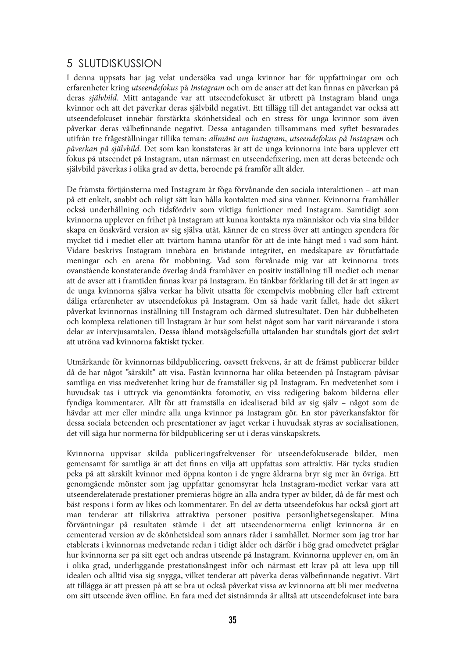## 5 SLUTDISKUSSION

I denna uppsats har jag velat undersöka vad unga kvinnor har för uppfattningar om och erfarenheter kring utseendefokus på Instagram och om de anser att det kan finnas en påverkan på deras självbild. Mitt antagande var att utseendefokuset är utbrett på Instagram bland unga kvinnor och att det påverkar deras självbild negativt. Ett tillägg till det antagandet var också att utseendefokuset innebär förstärkta skönhetsideal och en stress för unga kvinnor som även påverkar deras välbefinnande negativt. Dessa antaganden tillsammans med syftet besvarades utifrån tre frågeställningar tillika teman: allmänt om Instagram, utseendefokus på Instagram och påverkan på självbild. Det som kan konstateras är att de unga kvinnorna inte bara upplever ett fokus på utseendet på Instagram, utan närmast en utseendefixering, men att deras beteende och självbild påverkas i olika grad av detta, beroende på framför allt ålder.

De främsta förtjänsterna med Instagram är föga förvånande den sociala interaktionen – att man på ett enkelt, snabbt och roligt sätt kan hålla kontakten med sina vänner. Kvinnorna framhåller också underhållning och tidsfördriv som viktiga funktioner med Instagram. Samtidigt som kvinnorna upplever en frihet på Instagram att kunna kontakta nya människor och via sina bilder skapa en önskvärd version av sig själva utåt, känner de en stress över att antingen spendera för mycket tid i mediet eller att tvärtom hamna utanför för att de inte hängt med i vad som hänt. Vidare beskrivs Instagram innebära en bristande integritet, en medskapare av förutfattade meningar och en arena för mobbning. Vad som förvånade mig var att kvinnorna trots ovanstående konstaterande överlag ändå framhäver en positiv inställning till mediet och menar att de avser att i framtiden finnas kvar på Instagram. En tänkbar förklaring till det är att ingen av de unga kvinnorna själva verkar ha blivit utsatta för exempelvis mobbning eller haft extremt dåliga erfarenheter av utseendefokus på Instagram. Om så hade varit fallet, hade det säkert påverkat kvinnornas inställning till Instagram och därmed slutresultatet. Den här dubbelheten och komplexa relationen till Instagram är hur som helst något som har varit närvarande i stora delar av intervjusamtalen. Dessa ibland motsägelsefulla uttalanden har stundtals gjort det svårt att utröna vad kvinnorna faktiskt tycker.

Utmärkande för kvinnornas bildpublicering, oavsett frekvens, är att de främst publicerar bilder då de har något "särskilt" att visa. Fastän kvinnorna har olika beteenden på Instagram påvisar samtliga en viss medvetenhet kring hur de framställer sig på Instagram. En medvetenhet som i huvudsak tas i uttryck via genomtänkta fotomotiv, en viss redigering bakom bilderna eller fyndiga kommentarer. Allt för att framställa en idealiserad bild av sig själv – något som de hävdar att mer eller mindre alla unga kvinnor på Instagram gör. En stor påverkansfaktor för dessa sociala beteenden och presentationer av jaget verkar i huvudsak styras av socialisationen, det vill säga hur normerna för bildpublicering ser ut i deras vänskapskrets.

Kvinnorna uppvisar skilda publiceringsfrekvenser för utseendefokuserade bilder, men gemensamt för samtliga är att det finns en vilja att uppfattas som attraktiv. Här tycks studien peka på att särskilt kvinnor med öppna konton i de yngre åldrarna bryr sig mer än övriga. Ett genomgående mönster som jag uppfattar genomsyrar hela Instagram-mediet verkar vara att utseenderelaterade prestationer premieras högre än alla andra typer av bilder, då de får mest och bäst respons i form av likes och kommentarer. En del av detta utseendefokus har också gjort att man tenderar att tillskriva attraktiva personer positiva personlighetsegenskaper. Mina förväntningar på resultaten stämde i det att utseendenormerna enligt kvinnorna är en cementerad version av de skönhetsideal som annars råder i samhället. Normer som jag tror har etablerats i kvinnornas medvetande redan i tidigt ålder och därför i hög grad omedvetet präglar hur kvinnorna ser på sitt eget och andras utseende på Instagram. Kvinnorna upplever en, om än i olika grad, underliggande prestationsångest inför och närmast ett krav på att leva upp till idealen och alltid visa sig snygga, vilket tenderar att påverka deras välbefinnande negativt. Värt att tillägga är att pressen på att se bra ut också påverkat vissa av kvinnorna att bli mer medvetna om sitt utseende även offline. En fara med det sistnämnda är alltså att utseendefokuset inte bara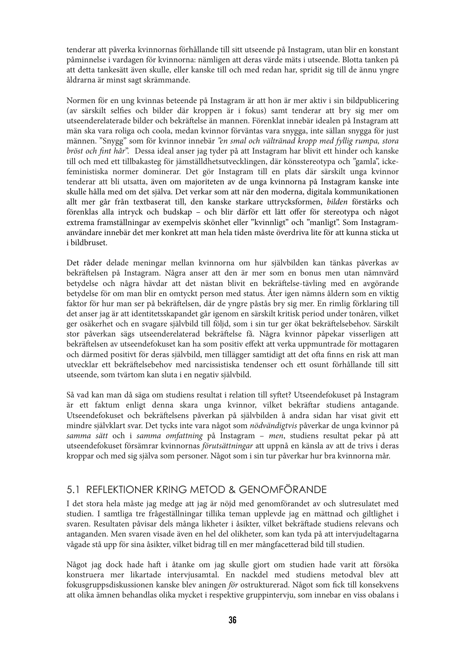tenderar att påverka kvinnornas förhållande till sitt utseende på Instagram, utan blir en konstant påminnelse i vardagen för kvinnorna: nämligen att deras värde mäts i utseende. Blotta tanken på att detta tankesätt även skulle, eller kanske till och med redan har, spridit sig till de ännu yngre åldrarna är minst sagt skrämmande.

Normen för en ung kvinnas beteende på Instagram är att hon är mer aktiv i sin bildpublicering (av särskilt selfies och bilder där kroppen är i fokus) samt tenderar att bry sig mer om utseenderelaterade bilder och bekräftelse än mannen. Förenklat innebär idealen på Instagram att män ska vara roliga och coola, medan kvinnor förväntas vara snygga, inte sällan snygga för just männen. "Snygg" som för kvinnor innebär "en smal och vältränad kropp med fyllig rumpa, stora bröst och fint hår". Dessa ideal anser jag tyder på att Instagram har blivit ett hinder och kanske till och med ett tillbakasteg för jämställdhetsutvecklingen, där könsstereotypa och "gamla", ickefeministiska normer dominerar. Det gör Instagram till en plats där särskilt unga kvinnor tenderar att bli utsatta, även om majoriteten av de unga kvinnorna på Instagram kanske inte skulle hålla med om det själva. Det verkar som att när den moderna, digitala kommunikationen allt mer går från textbaserat till, den kanske starkare uttrycksformen, bilden förstärks och förenklas alla intryck och budskap – och blir därför ett lätt offer för stereotypa och något extrema framställningar av exempelvis skönhet eller "kvinnligt" och "manligt". Som Instagramanvändare innebär det mer konkret att man hela tiden måste överdriva lite för att kunna sticka ut i bildbruset.

Det råder delade meningar mellan kvinnorna om hur självbilden kan tänkas påverkas av bekräftelsen på Instagram. Några anser att den är mer som en bonus men utan nämnvärd betydelse och några hävdar att det nästan blivit en bekräftelse-tävling med en avgörande betydelse för om man blir en omtyckt person med status. Åter igen nämns åldern som en viktig faktor för hur man ser på bekräftelsen, där de yngre påstås bry sig mer. En rimlig förklaring till det anser jag är att identitetsskapandet går igenom en särskilt kritisk period under tonåren, vilket ger osäkerhet och en svagare självbild till följd, som i sin tur ger ökat bekräftelsebehov. Särskilt stor påverkan sägs utseenderelaterad bekräftelse få. Några kvinnor påpekar visserligen att bekräftelsen av utseendefokuset kan ha som positiv effekt att verka uppmuntrade för mottagaren och därmed positivt för deras självbild, men tillägger samtidigt att det ofta finns en risk att man utvecklar ett bekräftelsebehov med narcissistiska tendenser och ett osunt förhållande till sitt utseende, som tvärtom kan sluta i en negativ självbild.

Så vad kan man då säga om studiens resultat i relation till syftet? Utseendefokuset på Instagram är ett faktum enligt denna skara unga kvinnor, vilket bekräftar studiens antagande. Utseendefokuset och bekräftelsens påverkan på självbilden å andra sidan har visat givit ett mindre självklart svar. Det tycks inte vara något som *nödvändigtvis* påverkar de unga kvinnor på samma sätt och i samma omfattning på Instagram – men, studiens resultat pekar på att utseendefokuset försämrar kvinnornas förutsättningar att uppnå en känsla av att de trivs i deras kroppar och med sig själva som personer. Något som i sin tur påverkar hur bra kvinnorna mår.

## 5.1 REFLEKTIONER KRING METOD & GENOMFÖRANDE

I det stora hela måste jag medge att jag är nöjd med genomförandet av och slutresulatet med studien. I samtliga tre frågeställningar tillika teman upplevde jag en mättnad och giltlighet i svaren. Resultaten påvisar dels många likheter i åsikter, vilket bekräftade studiens relevans och antaganden. Men svaren visade även en hel del olikheter, som kan tyda på att intervjudeltagarna vågade stå upp för sina åsikter, vilket bidrag till en mer mångfacetterad bild till studien.

Något jag dock hade haft i åtanke om jag skulle gjort om studien hade varit att försöka konstruera mer likartade intervjusamtal. En nackdel med studiens metodval blev att fokusgruppsdiskussionen kanske blev aningen för ostrukturerad. Något som fick till konsekvens att olika ämnen behandlas olika mycket i respektive gruppintervju, som innebar en viss obalans i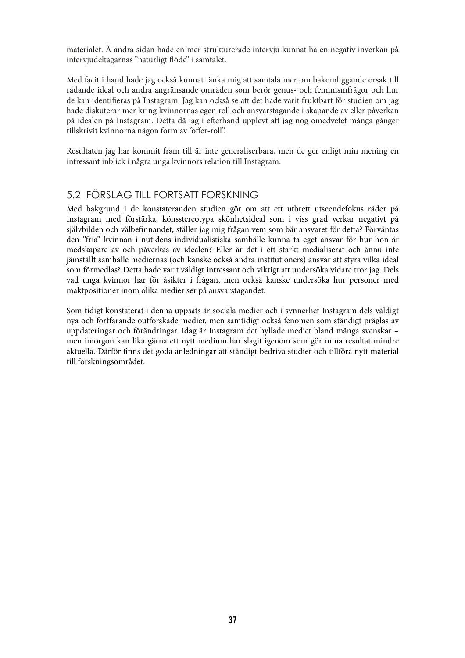materialet. Å andra sidan hade en mer strukturerade intervju kunnat ha en negativ inverkan på intervjudeltagarnas "naturligt flöde" i samtalet.

Med facit i hand hade jag också kunnat tänka mig att samtala mer om bakomliggande orsak till rådande ideal och andra angränsande områden som berör genus- och feminismfrågor och hur de kan identifieras på Instagram. Jag kan också se att det hade varit fruktbart för studien om jag hade diskuterar mer kring kvinnornas egen roll och ansvarstagande i skapande av eller påverkan på idealen på Instagram. Detta då jag i efterhand upplevt att jag nog omedvetet många gånger tillskrivit kvinnorna någon form av "offer-roll".

Resultaten jag har kommit fram till är inte generaliserbara, men de ger enligt min mening en intressant inblick i några unga kvinnors relation till Instagram.

## 5.2 FÖRSLAG TILL FORTSATT FORSKNING

Med bakgrund i de konstateranden studien gör om att ett utbrett utseendefokus råder på Instagram med förstärka, könsstereotypa skönhetsideal som i viss grad verkar negativt på självbilden och välbefinnandet, ställer jag mig frågan vem som bär ansvaret för detta? Förväntas den "fria" kvinnan i nutidens individualistiska samhälle kunna ta eget ansvar för hur hon är medskapare av och påverkas av idealen? Eller är det i ett starkt medialiserat och ännu inte jämställt samhälle mediernas (och kanske också andra institutioners) ansvar att styra vilka ideal som förmedlas? Detta hade varit väldigt intressant och viktigt att undersöka vidare tror jag. Dels vad unga kvinnor har för åsikter i frågan, men också kanske undersöka hur personer med maktpositioner inom olika medier ser på ansvarstagandet.

Som tidigt konstaterat i denna uppsats är sociala medier och i synnerhet Instagram dels väldigt nya och fortfarande outforskade medier, men samtidigt också fenomen som ständigt präglas av uppdateringar och förändringar. Idag är Instagram det hyllade mediet bland många svenskar – men imorgon kan lika gärna ett nytt medium har slagit igenom som gör mina resultat mindre aktuella. Därför finns det goda anledningar att ständigt bedriva studier och tillföra nytt material till forskningsområdet.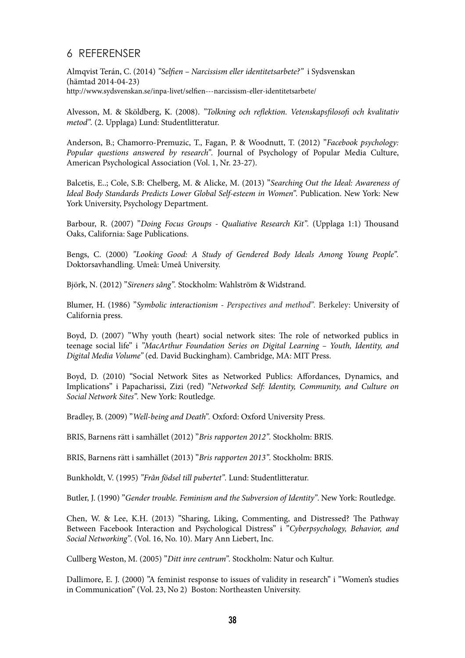## 6 REFERENSER

Almqvist Terán, C. (2014) "Selfien - Narcissism eller identitetsarbete?" i Sydsvenskan (hämtad 2014-04-23) http://www.sydsvenskan.se/inpa-livet/selfien---narcissism-eller-identitetsarbete/

Alvesson, M. & Sköldberg, K. (2008). "Tolkning och reflektion. Vetenskapsfilosofi och kvalitativ metod". (2. Upplaga) Lund: Studentlitteratur.

Anderson, B.; Chamorro-Premuzic, T., Fagan, P. & Woodnutt, T. (2012) "Facebook psychology: Popular questions answered by research". Journal of Psychology of Popular Media Culture, American Psychological Association (Vol. 1, Nr. 23-27).

Balcetis, E..; Cole, S.B: Chelberg, M. & Alicke, M. (2013) "Searching Out the Ideal: Awareness of Ideal Body Standards Predicts Lower Global Self-esteem in Women". Publication. New York: New York University, Psychology Department.

Barbour, R. (2007) "Doing Focus Groups - Qualiative Research Kit". (Upplaga 1:1) Thousand Oaks, California: Sage Publications.

Bengs, C. (2000) "Looking Good: A Study of Gendered Body Ideals Among Young People". Doktorsavhandling. Umeå: Umeå University.

Björk, N. (2012) "Sireners sång". Stockholm: Wahlström & Widstrand.

Blumer, H. (1986) "Symbolic interactionism - Perspectives and method". Berkeley: University of California press.

Boyd, D. (2007) "Why youth (heart) social network sites: The role of networked publics in teenage social life" i "MacArthur Foundation Series on Digital Learning – Youth, Identity, and Digital Media Volume" (ed. David Buckingham). Cambridge, MA: MIT Press.

Boyd, D. (2010) "Social Network Sites as Networked Publics: Affordances, Dynamics, and Implications" i Papacharissi, Zizi (red) "Networked Self: Identity, Community, and Culture on Social Network Sites". New York: Routledge.

Bradley, B. (2009) "Well-being and Death". Oxford: Oxford University Press.

BRIS, Barnens rätt i samhället (2012) "Bris rapporten 2012". Stockholm: BRIS.

BRIS, Barnens rätt i samhället (2013) "Bris rapporten 2013". Stockholm: BRIS.

Bunkholdt, V. (1995) "Från födsel till pubertet". Lund: Studentlitteratur.

Butler, J. (1990) "Gender trouble. Feminism and the Subversion of Identity". New York: Routledge.

Chen, W. & Lee, K.H. (2013) "Sharing, Liking, Commenting, and Distressed? The Pathway Between Facebook Interaction and Psychological Distress" i "Cyberpsychology, Behavior, and Social Networking". (Vol. 16, No. 10). Mary Ann Liebert, Inc.

Cullberg Weston, M. (2005) "Ditt inre centrum". Stockholm: Natur och Kultur.

Dallimore, E. J. (2000) "A feminist response to issues of validity in research" i "Women's studies in Communication" (Vol. 23, No 2) Boston: Northeasten University.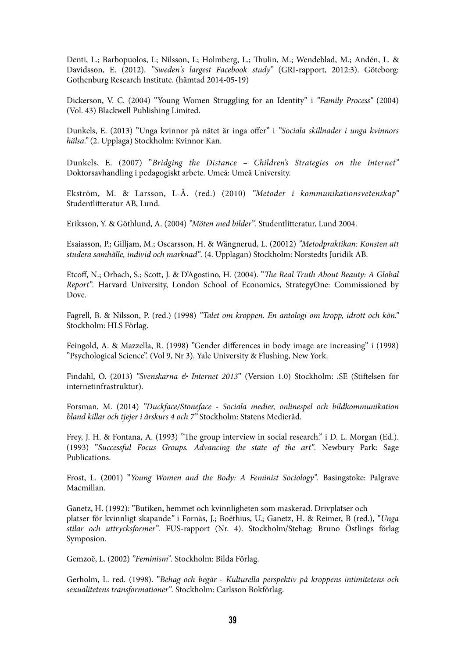Denti, L.; Barbopuolos, I.; Nilsson, I.; Holmberg, L.; Thulin, M.; Wendeblad, M.; Andén, L. & Davidsson, E. (2012). "Sweden's largest Facebook study" (GRI-rapport, 2012:3). Göteborg: Gothenburg Research Institute. (hämtad 2014-05-19)

Dickerson, V. C. (2004) "Young Women Struggling for an Identity" i "Family Process" (2004) (Vol. 43) Blackwell Publishing Limited.

Dunkels, E. (2013) "Unga kvinnor på nätet är inga offer" i ["Sociala skillnader i unga kvinnors](http://media1.kvinnorkan.se/2013/10/Sociala-skillnader-i-unga-kvinnors-h%C3%A4lsa.-KvinnorKan-Rapport-2013.pdf) [hälsa.](http://media1.kvinnorkan.se/2013/10/Sociala-skillnader-i-unga-kvinnors-h%C3%A4lsa.-KvinnorKan-Rapport-2013.pdf)" (2. Upplaga) Stockholm: Kvinnor Kan.

Dunkels, E. (2007) "Bridging the Distance - Children's Strategies on the Internet" Doktorsavhandling i pedagogiskt arbete. Umeå: Umeå University.

Ekström, M. & Larsson, L-Å. (red.) (2010) "Metoder i kommunikationsvetenskap" Studentlitteratur AB, Lund.

Eriksson, Y. & Göthlund, A. (2004) "Möten med bilder". Studentlitteratur, Lund 2004.

Esaiasson, P.; Gilljam, M.; Oscarsson, H. & Wängnerud, L. (20012) "Metodpraktikan: Konsten att studera samhälle, individ och marknad". (4. Upplagan) Stockholm: Norstedts Juridik AB.

Etcoff, N.; Orbach, S.; Scott, J. & D'Agostino, H. (2004). "The Real Truth About Beauty: A Global Report". Harvard University, London School of Economics, StrategyOne: Commissioned by Dove.

Fagrell, B. & Nilsson, P. (red.) (1998) "Talet om kroppen. En antologi om kropp, idrott och kön." Stockholm: HLS Förlag.

Feingold, A. & Mazzella, R. (1998) "Gender differences in body image are increasing" i (1998) "Psychological Science". (Vol 9, Nr 3). Yale University & Flushing, New York.

Findahl, O. (2013) "Svenskarna & Internet 2013" (Version 1.0) Stockholm: .SE (Stiftelsen för internetinfrastruktur).

Forsman, M. (2014) "Duckface/Stoneface - Sociala medier, onlinespel och bildkommunikation bland killar och tjejer i årskurs 4 och 7" Stockholm: Statens Medieråd.

Frey, J. H. & Fontana, A. (1993) "The group interview in social research." i D. L. Morgan (Ed.). (1993) "Successful Focus Groups. Advancing the state of the art". Newbury Park: Sage Publications.

Frost, L. (2001) "Young Women and the Body: A Feminist Sociology". Basingstoke: Palgrave Macmillan.

Ganetz, H. (1992): "Butiken, hemmet och kvinnligheten som maskerad. Drivplatser och platser för kvinnligt skapande" i Fornäs, J.; Boëthius, U.; Ganetz, H. & Reimer, B (red.), "Unga stilar och uttrycksformer". FUS-rapport (Nr. 4). Stockholm/Stehag: Bruno Östlings förlag Symposion.

Gemzoë, L. (2002) "Feminism". Stockholm: Bilda Förlag.

Gerholm, L. red. (1998). "Behag och begär - Kulturella perspektiv på kroppens intimitetens och sexualitetens transformationer". Stockholm: Carlsson Bokförlag.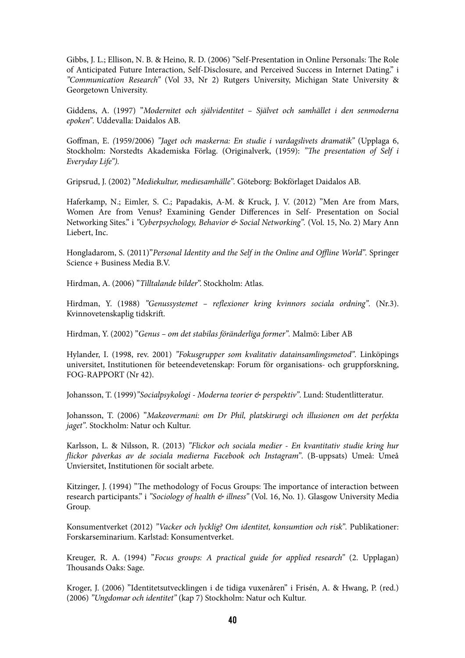Gibbs, J. L.; Ellison, N. B. & Heino, R. D. (2006) "Self-Presentation in Online Personals: The Role of Anticipated Future Interaction, Self-Disclosure, and Perceived Success in Internet Dating." i "Communication Research" (Vol 33, Nr 2) Rutgers University, Michigan State University & Georgetown University.

Giddens, A. (1997) "Modernitet och självidentitet – Självet och samhället i den senmoderna epoken". Uddevalla: Daidalos AB.

Goffman, E. (1959/2006) "Jaget och maskerna: En studie i vardagslivets dramatik" (Upplaga 6, Stockholm: Norstedts Akademiska Förlag. (Originalverk, (1959): "The presentation of Self i Everyday Life").

Gripsrud, J. (2002) "Mediekultur, mediesamhälle". Göteborg: Bokförlaget Daidalos AB.

Haferkamp, N.; Eimler, S. C.; Papadakis, A-M. & Kruck, J. V. (2012) "Men Are from Mars, Women Are from Venus? Examining Gender Differences in Self- Presentation on Social Networking Sites." i "Cyberpsychology, Behavior & Social Networking". (Vol. 15, No. 2) Mary Ann Liebert, Inc.

Hongladarom, S. (2011)"Personal Identity and the Self in the Online and Offline World". Springer Science + Business Media B.V.

Hirdman, A. (2006) "Tilltalande bilder". Stockholm: Atlas.

Hirdman, Y. (1988) "Genussystemet – reflexioner kring kvinnors sociala ordning". (Nr.3). Kvinnovetenskaplig tidskrift.

Hirdman, Y. (2002) "Genus – om det stabilas föränderliga former". Malmö: Liber AB

Hylander, I. (1998, rev. 2001) "Fokusgrupper som kvalitativ datainsamlingsmetod". Linköpings universitet, Institutionen för beteendevetenskap: Forum för organisations- och gruppforskning, FOG-RAPPORT (Nr 42).

Johansson, T. (1999)"Socialpsykologi - Moderna teorier & perspektiv". Lund: Studentlitteratur.

Johansson, T. (2006) "Makeovermani: om Dr Phil, platskirurgi och illusionen om det perfekta jaget". Stockholm: Natur och Kultur.

Karlsson, L. & Nilsson, R. (2013) "Flickor och sociala medier - En kvantitativ studie kring hur flickor påverkas av de sociala medierna Facebook och Instagram". (B-uppsats) Umeå: Umeå Unviersitet, Institutionen för socialt arbete.

Kitzinger, J. (1994) "The methodology of Focus Groups: The importance of interaction between research participants." i "Sociology of health & illness" (Vol. 16, No. 1). Glasgow University Media Group.

Konsumentverket (2012) "Vacker och lycklig? Om identitet, konsumtion och risk". Publikationer: Forskarseminarium. Karlstad: Konsumentverket.

Kreuger, R. A. (1994) "Focus groups: A practical guide for applied research" (2. Upplagan) Thousands Oaks: Sage.

Kroger, J. (2006) "Identitetsutvecklingen i de tidiga vuxenåren" i Frisén, A. & Hwang, P. (red.) (2006) "Ungdomar och identitet" (kap 7) Stockholm: Natur och Kultur.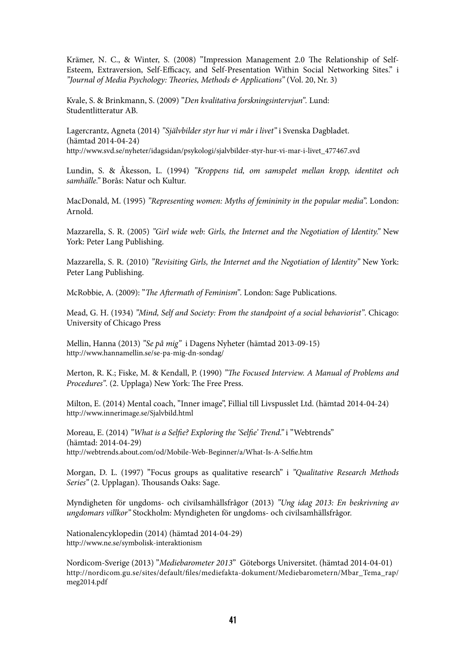Krämer, N. C., & Winter, S. (2008) "Impression Management 2.0 The Relationship of Self-Esteem, Extraversion, Self-Efficacy, and Self-Presentation Within Social Networking Sites." i "Journal of Media Psychology: Theories, Methods & Applications" (Vol. 20, Nr. 3)

Kvale, S. & Brinkmann, S. (2009) "Den kvalitativa forskningsintervjun". Lund: Studentlitteratur AB.

Lagercrantz, Agneta (2014) "Självbilder styr hur vi mår i livet" i Svenska Dagbladet. (hämtad 2014-04-24) [http://www.svd.se/nyheter/idagsidan/psykologi/sjalvbilder-styr-hur-vi-mar-i-livet\\_477467.svd](http://www.svd.se/nyheter/idagsidan/psykologi/sjalvbilder-styr-hur-vi-mar-i-livet_477467.svd)

Lundin, S. & Åkesson, L. (1994) "Kroppens tid, om samspelet mellan kropp, identitet och samhälle." Borås: Natur och Kultur.

MacDonald, M. (1995) "Representing women: Myths of femininity in the popular media". London: Arnold.

Mazzarella, S. R. (2005) "Girl wide web: Girls, the Internet and the Negotiation of Identity." New York: Peter Lang Publishing.

Mazzarella, S. R. (2010) "Revisiting Girls, the Internet and the Negotiation of Identity" New York: Peter Lang Publishing.

McRobbie, A. (2009): "The Aftermath of Feminism". London: Sage Publications.

Mead, G. H. (1934) "Mind, Self and Society: From the standpoint of a social behaviorist". Chicago: University of Chicago Press

Mellin, Hanna (2013) "Se på mig" i Dagens Nyheter (hämtad 2013-09-15) <http://www.hannamellin.se/se-pa-mig-dn-sondag/>

Merton, R. K.; Fiske, M. & Kendall, P. (1990) "The Focused Interview. A Manual of Problems and Procedures". (2. Upplaga) New York: The Free Press.

Milton, E. (2014) Mental coach, "Inner image", Fillial till Livspusslet Ltd. (hämtad 2014-04-24) <http://www.innerimage.se/Sjalvbild.html>

Moreau, E. (2014) "What is a Selfie? Exploring the 'Selfie' Trend." i "Webtrends" (hämtad: 2014-04-29) http://webtrends.about.com/od/Mobile-Web-Beginner/a/What-Is-A-Selfie.htm

Morgan, D. L. (1997) "Focus groups as qualitative research" i "Qualitative Research Methods Series" (2. Upplagan). Thousands Oaks: Sage.

Myndigheten för ungdoms- och civilsamhällsfrågor (2013) "Ung idag 2013: En beskrivning av ungdomars villkor" Stockholm: Myndigheten för ungdoms- och civilsamhällsfrågor.

Nationalencyklopedin (2014) (hämtad 2014-04-29) <http://www.ne.se/symbolisk-interaktionism>

Nordicom-Sverige (2013) "Mediebarometer 2013" Göteborgs Universitet. (hämtad 2014-04-01) http://nordicom.gu.se/sites/default/files/mediefakta-dokument/Mediebarometern/Mbar\_Tema\_rap/ [meg2014.pdf](http://nordicom.gu.se/sites/default/files/mediefakta-dokument/Mediebarometern/Mbar_Tema_rap/meg2014.pdf)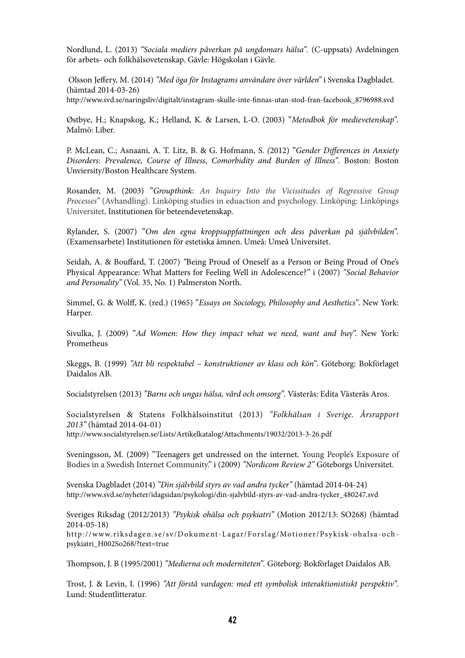Nordlund, L. (2013) "Sociala mediers påverkan på ungdomars hälsa". (C-uppsats) Avdelningen för arbets- och folkhälsovetenskap. Gävle: Högskolan i Gävle.

Olsson Jeffery, M. (2014) "Med öga för Instagrams användare över världen" i Svenska Dagbladet. (hämtad 2014-03-26)

http://www.svd.se/naringsliv/digitalt/instagram-skulle-inte-finnas-utan-stod-fran-facebook\_8796988.svd

Østbye, H.; Knapskog, K.; Helland, K. & Larsen, L-O. (2003) "Metodbok för medievetenskap". Malmö: Liber.

[P. McLean, C.](http://www.ncbi.nlm.nih.gov/pubmed/?term=McLean%20CP%5Bauth%5D); [Asnaani, A.](http://www.ncbi.nlm.nih.gov/pubmed/?term=Asnaani%20A%5Bauth%5D) [T. Litz,](http://www.ncbi.nlm.nih.gov/pubmed/?term=Litz%20BT%5Bauth%5D) B. & [G. Hofmann](http://www.ncbi.nlm.nih.gov/pubmed/?term=Hofmann%20SG%5Bauth%5D), S. (2012) "Gender Differences in Anxiety Disorders: Prevalence, Course of Illness, Comorbidity and Burden of Illness". Boston: Boston Unviersity/Boston Healthcare System.

Rosander, M. (2003) "Groupthink: An Inquiry Into the Vicissitudes of Regressive Group Processes" (Avhandling). Linköping studies in eduaction and psychology. Linköping: Linköpings Universitet, Institutionen för beteendevetenskap.

Rylander, S. (2007) "Om den egna kroppsuppfattningen och dess påverkan på självbilden". (Examensarbete) Institutionen för estetiska ämnen. Umeå: Umeå Universitet.

Seidah, A. & Bouffard, T. (2007) "Being Proud of Oneself as a Person or Being Proud of One's Physical Appearance: What Matters for Feeling Well in Adolescence?" i (2007) "Social Behavior and Personality" (Vol. 35, No. 1) Palmerston North.

Simmel, G. & Wolff, K. (red.) (1965) "Essays on Sociology, Philosophy and Aesthetics". New York: Harper.

Sivulka, J. (2009) "Ad Women: How they impact what we need, want and buy". New York: Prometheus

Skeggs, B. (1999) "Att bli respektabel – konstruktioner av klass och kön". Göteborg: Bokförlaget Daidalos AB.

Socialstyrelsen (2013) "Barns och ungas hälsa, vård och omsorg". Västerås: Edita Västerås Aros.

Socialstyrelsen & Statens Folkhälsoinstitut (2013) "Folkhälsan i Sverige. Årsrapport 2013" (hämtad 2014-04-01)

<http://www.socialstyrelsen.se/Lists/Artikelkatalog/Attachments/19032/2013-3-26.pdf>

Sveningsson, M. (2009) "Teenagers get undressed on the internet. Young People's Exposure of Bodies in a Swedish Internet Community." i (2009) "Nordicom Review 2" Göteborgs Universitet.

Svenska Dagbladet (2014) "Din självbild styrs av vad andra tycker" (hämtad 2014-04-24) [http://www.svd.se/nyheter/idagsidan/psykologi/din-sjalvbild-styrs-av-vad-andra-tycker\\_480247.svd](http://www.svd.se/nyheter/idagsidan/psykologi/din-sjalvbild-styrs-av-vad-andra-tycker_480247.svd)

Sveriges Riksdag (2012/2013) "Psykisk ohälsa och psykiatri" (Motion 2012/13: SO268) (hämtad 2014-05-18)

[http://www.riksdagen.se/sv/Dokument-Lagar/Forslag/Motioner/Psykisk-ohalsa-och](http://www.riksdagen.se/sv/Dokument-Lagar/Forslag/Motioner/Psykisk-ohalsa-och-psykiatri_H002So268/?text=true)[psykiatri\\_H002So268/?text=true](http://www.riksdagen.se/sv/Dokument-Lagar/Forslag/Motioner/Psykisk-ohalsa-och-psykiatri_H002So268/?text=true)

ompson, J. B (1995/2001) "Medierna och moderniteten". Göteborg: Bokförlaget Daidalos AB.

Trost, J. & Levin, I. (1996) "Att förstå vardagen: med ett symbolisk interaktionistiskt perspektiv". Lund: Studentlitteratur.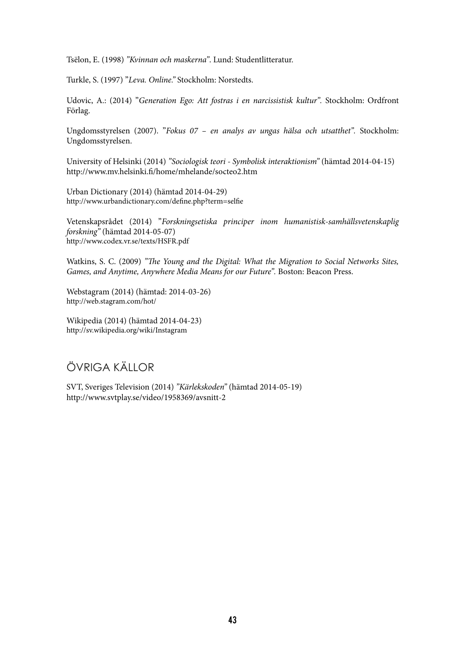Tsëlon, E. (1998) "Kvinnan och maskerna". Lund: Studentlitteratur.

Turkle, S. (1997) "Leva. Online." Stockholm: Norstedts.

Udovic, A.: (2014) "Generation Ego: Att fostras i en narcissistisk kultur". Stockholm: Ordfront Förlag.

Ungdomsstyrelsen (2007). "Fokus 07 – en analys av ungas hälsa och utsatthet". Stockholm: Ungdomsstyrelsen.

University of Helsinki (2014) "Sociologisk teori - Symbolisk interaktionism" (hämtad 2014-04-15) http://www.mv.helsinki.fi/home/mhelande/socteo2.htm

Urban Dictionary (2014) (hämtad 2014-04-29) http://www.urbandictionary.com/define.php?term=selfie

Vetenskapsrådet (2014) "Forskningsetiska principer inom humanistisk-samhällsvetenskaplig forskning" (hämtad 2014-05-07) <http://www.codex.vr.se/texts/HSFR.pdf>

Watkins, S. C. (2009) "The Young and the Digital: What the Migration to Social Networks Sites, Games, and Anytime, Anywhere Media Means for our Future". Boston: Beacon Press.

Webstagram (2014) (hämtad: 2014-03-26) <http://web.stagram.com/hot/>

Wikipedia (2014) (hämtad 2014-04-23) <http://sv.wikipedia.org/wiki/Instagram>

# ÖVRIGA KÄLLOR

SVT, Sveriges Television (2014) "Kärlekskoden" (hämtad 2014-05-19) <http://www.svtplay.se/video/1958369/avsnitt-2>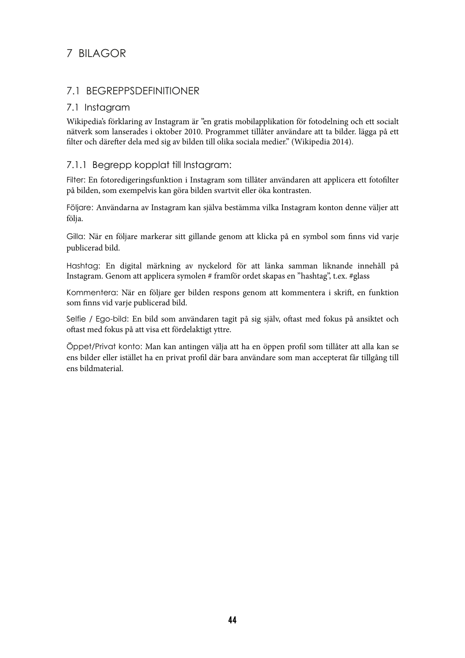## 7 BILAGOR

## 7.1 BEGREPPSDEFINITIONER

#### 7.1 Instagram

Wikipedia's förklaring av Instagram är "en gratis mobilapplikation för fotodelning och ett socialt nätverk som lanserades i oktober 2010. Programmet tillåter användare att ta bilder. lägga på ett filter och därefter dela med sig av bilden till olika sociala medier." (Wikipedia 2014).

#### 7.1.1 Begrepp kopplat till Instagram:

Filter: En fotoredigeringsfunktion i Instagram som tillåter användaren att applicera ett fotofilter på bilden, som exempelvis kan göra bilden svartvit eller öka kontrasten.

Följare: Användarna av Instagram kan själva bestämma vilka Instagram konton denne väljer att följa.

Gilla: När en följare markerar sitt gillande genom att klicka på en symbol som finns vid varje publicerad bild.

Hashtag: En digital märkning av nyckelord för att länka samman liknande innehåll på Instagram. Genom att applicera symolen # framför ordet skapas en "hashtag", t.ex. #glass

Kommentera: När en följare ger bilden respons genom att kommentera i skrift, en funktion som finns vid varje publicerad bild.

Selfie / Ego-bild: En bild som användaren tagit på sig själv, oftast med fokus på ansiktet och oftast med fokus på att visa ett fördelaktigt yttre.

Öppet/Privat konto: Man kan antingen välja att ha en öppen profil som tillåter att alla kan se ens bilder eller istället ha en privat profil där bara användare som man accepterat får tillgång till ens bildmaterial.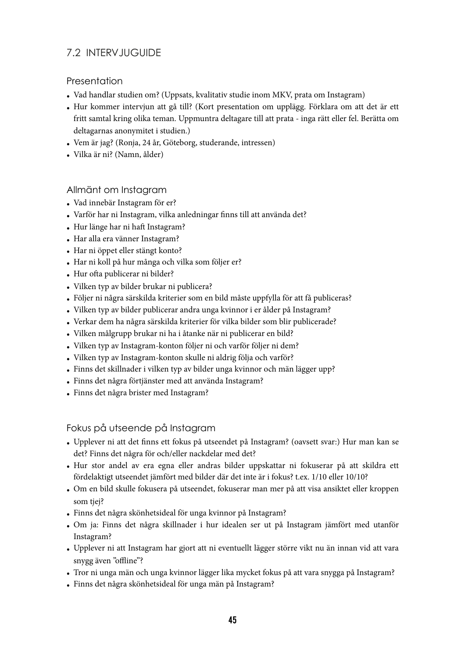## 7.2 INTERVJUGUIDE

## **Presentation**

- Vad handlar studien om? (Uppsats, kvalitativ studie inom MKV, prata om Instagram)
- Hur kommer intervjun att gå till? (Kort presentation om upplägg. Förklara om att det är ett fritt samtal kring olika teman. Uppmuntra deltagare till att prata - inga rätt eller fel. Berätta om deltagarnas anonymitet i studien.)
- Vem är jag? (Ronja, 24 år, Göteborg, studerande, intressen)
- Vilka är ni? (Namn, ålder)

## Allmänt om Instagram

- Vad innebär Instagram för er?
- Varför har ni Instagram, vilka anledningar finns till att använda det?
- Hur länge har ni haft Instagram?
- Har alla era vänner Instagram?
- Har ni öppet eller stängt konto?
- Har ni koll på hur många och vilka som följer er?
- Hur ofta publicerar ni bilder?
- Vilken typ av bilder brukar ni publicera?
- Följer ni några särskilda kriterier som en bild måste uppfylla för att få publiceras?
- Vilken typ av bilder publicerar andra unga kvinnor i er ålder på Instagram?
- Verkar dem ha några särskilda kriterier för vilka bilder som blir publicerade?
- Vilken målgrupp brukar ni ha i åtanke när ni publicerar en bild?
- Vilken typ av Instagram-konton följer ni och varför följer ni dem?
- Vilken typ av Instagram-konton skulle ni aldrig följa och varför?
- Finns det skillnader i vilken typ av bilder unga kvinnor och män lägger upp?
- Finns det några förtjänster med att använda Instagram?
- Finns det några brister med Instagram?

Fokus på utseende på Instagram

- Upplever ni att det finns ett fokus på utseendet på Instagram? (oavsett svar:) Hur man kan se det? Finns det några för och/eller nackdelar med det?
- Hur stor andel av era egna eller andras bilder uppskattar ni fokuserar på att skildra ett fördelaktigt utseendet jämfört med bilder där det inte är i fokus? t.ex. 1/10 eller 10/10?
- Om en bild skulle fokusera på utseendet, fokuserar man mer på att visa ansiktet eller kroppen som tiej?
- Finns det några skönhetsideal för unga kvinnor på Instagram?
- Om ja: Finns det några skillnader i hur idealen ser ut på Instagram jämfört med utanför Instagram?
- Upplever ni att Instagram har gjort att ni eventuellt lägger större vikt nu än innan vid att vara snygg även "offline"?
- Tror ni unga män och unga kvinnor lägger lika mycket fokus på att vara snygga på Instagram?
- Finns det några skönhetsideal för unga män på Instagram?